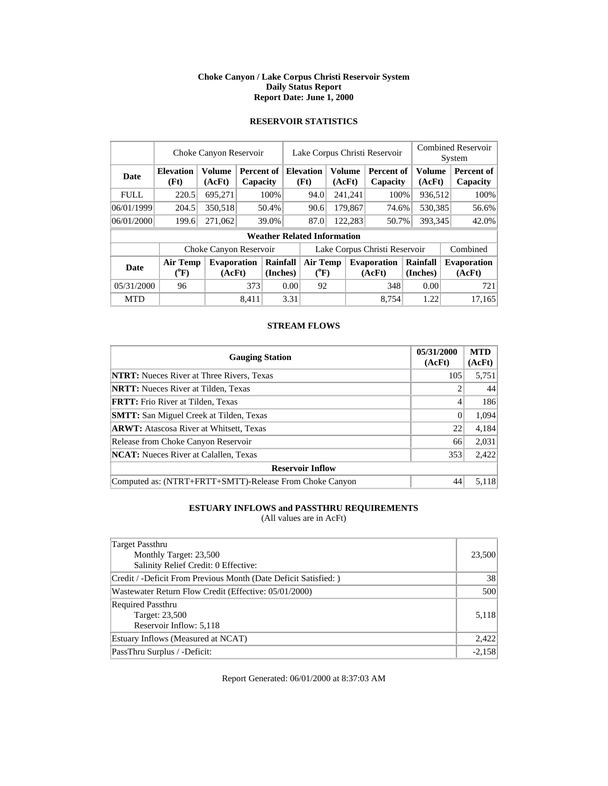### **Choke Canyon / Lake Corpus Christi Reservoir System Daily Status Report Report Date: June 1, 2000**

### **RESERVOIR STATISTICS**

|             | Choke Canyon Reservoir         |                         |          |                             | Lake Corpus Christi Reservoir |                                    |  |                         |                              | <b>Combined Reservoir</b><br>System |  |                              |
|-------------|--------------------------------|-------------------------|----------|-----------------------------|-------------------------------|------------------------------------|--|-------------------------|------------------------------|-------------------------------------|--|------------------------------|
| <b>Date</b> | <b>Elevation</b><br>(Ft)       | <b>Volume</b><br>(AcFt) | Capacity | <b>Percent of Elevation</b> |                               | (Ft)                               |  | <b>Volume</b><br>(AcFt) | Percent of<br>Capacity       | <b>Volume</b><br>(AcFt)             |  | Percent of<br>Capacity       |
| <b>FULL</b> | 220.5                          | 695,271                 |          | 100%                        |                               | 94.0                               |  | 241,241                 | 100%                         | 936,512                             |  | 100%                         |
| 06/01/1999  | 204.5                          | 350,518                 |          | 50.4%                       |                               | 90.6                               |  | 179,867                 | 74.6%                        | 530,385                             |  | 56.6%                        |
| 06/01/2000  | 199.6                          | 271,062                 |          | 39.0%                       |                               | 87.0                               |  | 122,283                 | 50.7%                        | 393,345                             |  | 42.0%                        |
|             |                                |                         |          |                             |                               | <b>Weather Related Information</b> |  |                         |                              |                                     |  |                              |
|             |                                | Choke Canyon Reservoir  |          |                             | Lake Corpus Christi Reservoir |                                    |  |                         |                              |                                     |  | Combined                     |
| <b>Date</b> | Air Temp<br>$({}^0\mathrm{F})$ | Evaporation<br>(AcFt)   |          | Rainfall<br>(Inches)        |                               | Air Temp<br>$(^{\circ}F)$          |  |                         | <b>Evaporation</b><br>(AcFt) | Rainfall<br>(Inches)                |  | <b>Evaporation</b><br>(AcFt) |
| 05/31/2000  | 96                             |                         | 373      |                             | 0.00                          | 92                                 |  |                         | 348                          | 0.00                                |  | 721                          |
| <b>MTD</b>  |                                |                         | 8.411    |                             | 3.31                          |                                    |  |                         | 8.754                        | 1.22                                |  | 17.165                       |

### **STREAM FLOWS**

| <b>Gauging Station</b>                                  | 05/31/2000<br>(AcFt) | <b>MTD</b><br>(AcFt) |  |  |  |  |  |
|---------------------------------------------------------|----------------------|----------------------|--|--|--|--|--|
| <b>NTRT:</b> Nueces River at Three Rivers, Texas        | 105                  | 5,751                |  |  |  |  |  |
| <b>NRTT:</b> Nueces River at Tilden, Texas              |                      | 44                   |  |  |  |  |  |
| <b>FRTT:</b> Frio River at Tilden, Texas                | 4                    | 186                  |  |  |  |  |  |
| <b>SMTT:</b> San Miguel Creek at Tilden, Texas          | $\Omega$             | 1,094                |  |  |  |  |  |
| <b>ARWT:</b> Atascosa River at Whitsett, Texas          | 22                   | 4,184                |  |  |  |  |  |
| Release from Choke Canyon Reservoir                     | 66                   | 2,031                |  |  |  |  |  |
| <b>NCAT:</b> Nueces River at Calallen, Texas            | 353                  | 2,422                |  |  |  |  |  |
| <b>Reservoir Inflow</b>                                 |                      |                      |  |  |  |  |  |
| Computed as: (NTRT+FRTT+SMTT)-Release From Choke Canyon | 44                   | 5,118                |  |  |  |  |  |

## **ESTUARY INFLOWS and PASSTHRU REQUIREMENTS**

(All values are in AcFt)

| Target Passthru<br>Monthly Target: 23,500<br>Salinity Relief Credit: 0 Effective: | 23,500   |
|-----------------------------------------------------------------------------------|----------|
| Credit / -Deficit From Previous Month (Date Deficit Satisfied:)                   | 38       |
| Wastewater Return Flow Credit (Effective: 05/01/2000)                             | 500      |
| <b>Required Passthru</b><br>Target: 23,500<br>Reservoir Inflow: 5,118             | 5,118    |
| Estuary Inflows (Measured at NCAT)                                                | 2,422    |
| PassThru Surplus / -Deficit:                                                      | $-2,158$ |

Report Generated: 06/01/2000 at 8:37:03 AM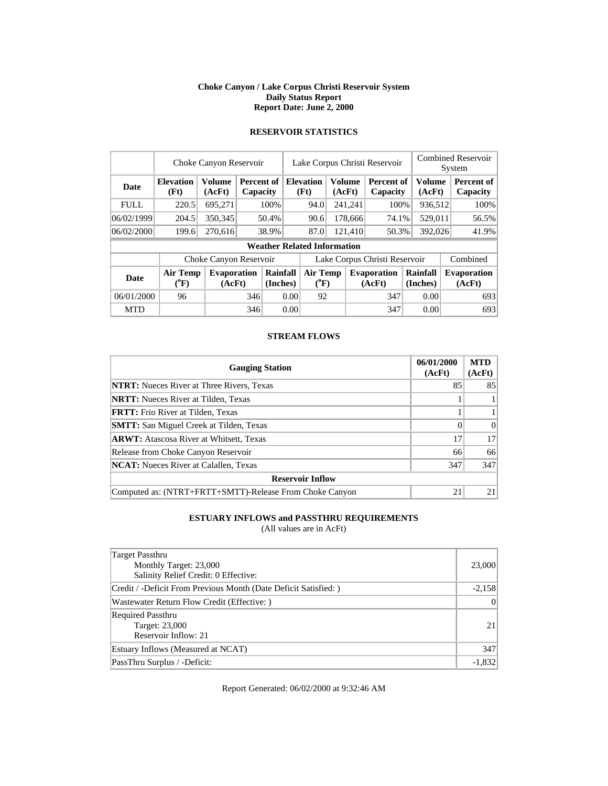#### **Choke Canyon / Lake Corpus Christi Reservoir System Daily Status Report Report Date: June 2, 2000**

|             |                                | Lake Corpus Christi Reservoir |            |                      |                               |                                       |        | Combined Reservoir |                              |                      |         |                              |  |  |
|-------------|--------------------------------|-------------------------------|------------|----------------------|-------------------------------|---------------------------------------|--------|--------------------|------------------------------|----------------------|---------|------------------------------|--|--|
|             | Choke Canyon Reservoir         |                               |            |                      |                               |                                       |        |                    |                              |                      |         | System                       |  |  |
| Date        | <b>Elevation</b>               | <b>Volume</b>                 | Percent of |                      |                               | <b>Elevation</b>                      |        | <b>Volume</b>      | Percent of                   |                      | Volume  | Percent of                   |  |  |
|             | (Ft)                           | (AcFt)                        | Capacity   |                      |                               | (Ft)                                  | (AcFt) |                    | Capacity                     |                      | (AcFt)  | Capacity                     |  |  |
| <b>FULL</b> | 220.5                          | 695.271                       |            | 100%                 |                               | 94.0                                  |        | 241,241            | 100%                         |                      | 936,512 | 100%                         |  |  |
| 06/02/1999  | 204.5                          | 350,345                       |            | 50.4%                |                               | 90.6                                  |        | 178,666            | 74.1%                        |                      | 529,011 | 56.5%                        |  |  |
| 06/02/2000  | 199.6                          | 270,616                       |            | 38.9%                |                               | 87.0                                  |        | 121.410            | 50.3%                        |                      | 392,026 | 41.9%                        |  |  |
|             |                                |                               |            |                      |                               | <b>Weather Related Information</b>    |        |                    |                              |                      |         |                              |  |  |
|             |                                | Choke Canyon Reservoir        |            |                      | Lake Corpus Christi Reservoir |                                       |        |                    |                              |                      |         | Combined                     |  |  |
| <b>Date</b> | Air Temp<br>$({}^0\mathrm{F})$ | <b>Evaporation</b><br>(AcFt)  |            | Rainfall<br>(Inches) |                               | <b>Air Temp</b><br>$({}^0\mathrm{F})$ |        |                    | <b>Evaporation</b><br>(AcFt) | Rainfall<br>(Inches) |         | <b>Evaporation</b><br>(AcFt) |  |  |
| 06/01/2000  | 96                             |                               | 346        |                      | 0.00                          | 92                                    |        |                    | 347                          |                      | 0.00    | 693                          |  |  |
| <b>MTD</b>  |                                |                               | 346        |                      | 0.00                          |                                       |        |                    | 347                          |                      | 0.00    | 693                          |  |  |

## **RESERVOIR STATISTICS**

### **STREAM FLOWS**

| <b>Gauging Station</b>                                  | 06/01/2000<br>(AcFt) | <b>MTD</b><br>(AcFt) |  |  |  |  |  |
|---------------------------------------------------------|----------------------|----------------------|--|--|--|--|--|
| <b>NTRT:</b> Nueces River at Three Rivers, Texas        | 85                   | 85                   |  |  |  |  |  |
| <b>NRTT:</b> Nueces River at Tilden, Texas              |                      |                      |  |  |  |  |  |
| <b>FRTT:</b> Frio River at Tilden, Texas                |                      |                      |  |  |  |  |  |
| <b>SMTT:</b> San Miguel Creek at Tilden, Texas          | $\Omega$             | $\Omega$             |  |  |  |  |  |
| <b>ARWT:</b> Atascosa River at Whitsett, Texas          | 17                   | 17                   |  |  |  |  |  |
| Release from Choke Canyon Reservoir                     | 66                   | 66                   |  |  |  |  |  |
| <b>NCAT:</b> Nueces River at Calallen, Texas            | 347                  | 347                  |  |  |  |  |  |
| <b>Reservoir Inflow</b>                                 |                      |                      |  |  |  |  |  |
| Computed as: (NTRT+FRTT+SMTT)-Release From Choke Canyon | 21                   | 21                   |  |  |  |  |  |

## **ESTUARY INFLOWS and PASSTHRU REQUIREMENTS**

(All values are in AcFt)

| Target Passthru<br>Monthly Target: 23,000<br>Salinity Relief Credit: 0 Effective: | 23,000   |
|-----------------------------------------------------------------------------------|----------|
| Credit / -Deficit From Previous Month (Date Deficit Satisfied:)                   | $-2,158$ |
| Wastewater Return Flow Credit (Effective: )                                       | 0        |
| Required Passthru<br>Target: 23,000<br>Reservoir Inflow: 21                       | 21       |
| Estuary Inflows (Measured at NCAT)                                                | 347      |
| PassThru Surplus / -Deficit:                                                      | $-1,832$ |

Report Generated: 06/02/2000 at 9:32:46 AM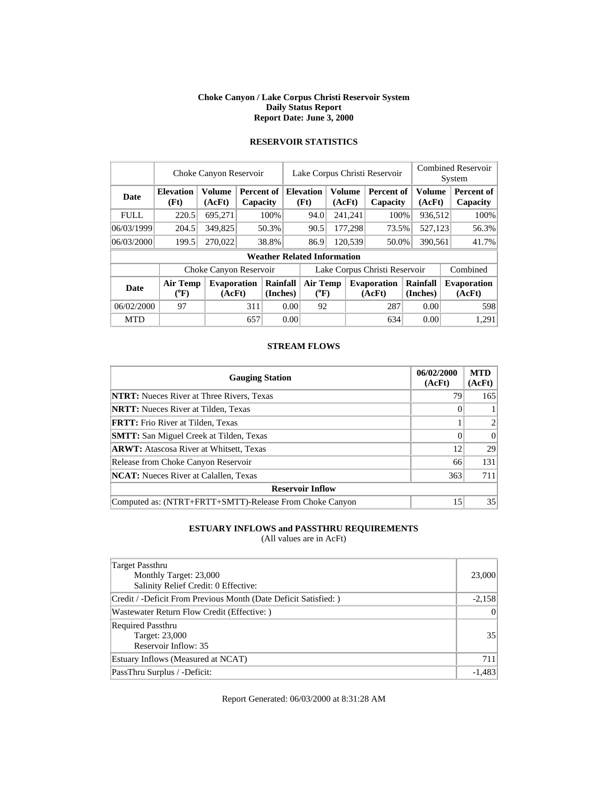#### **Choke Canyon / Lake Corpus Christi Reservoir System Daily Status Report Report Date: June 3, 2000**

## **RESERVOIR STATISTICS**

|             | Choke Canyon Reservoir   |                              | Lake Corpus Christi Reservoir |                      |                                    | <b>Combined Reservoir</b><br>System |                         |                              |                         |  |                              |
|-------------|--------------------------|------------------------------|-------------------------------|----------------------|------------------------------------|-------------------------------------|-------------------------|------------------------------|-------------------------|--|------------------------------|
| Date        | <b>Elevation</b><br>(Ft) | <b>Volume</b><br>(AcFt)      | <b>Percent of</b><br>Capacity |                      | <b>Elevation</b><br>(Ft)           |                                     | <b>Volume</b><br>(AcFt) | Percent of<br>Capacity       | <b>Volume</b><br>(AcFt) |  | Percent of<br>Capacity       |
| <b>FULL</b> | 220.5                    | 695,271                      |                               | 100%                 | 94.0                               |                                     | 241,241                 | 100%                         | 936,512                 |  | 100%                         |
| 06/03/1999  | 204.5                    | 349,825                      |                               | 50.3%                | 90.5                               |                                     | 177,298                 | 73.5%                        | 527.123                 |  | 56.3%                        |
| 06/03/2000  | 199.5                    | 270,022                      |                               | 38.8%                | 86.9                               |                                     | 120,539                 | 50.0%                        | 390,561                 |  | 41.7%                        |
|             |                          |                              |                               |                      | <b>Weather Related Information</b> |                                     |                         |                              |                         |  |                              |
|             |                          | Choke Canyon Reservoir       |                               |                      | Lake Corpus Christi Reservoir      |                                     |                         |                              |                         |  | Combined                     |
| <b>Date</b> | Air Temp<br>(°F)         | <b>Evaporation</b><br>(AcFt) |                               | Rainfall<br>(Inches) | Air Temp<br>$(^{0}F)$              |                                     |                         | <b>Evaporation</b><br>(AcFt) | Rainfall<br>(Inches)    |  | <b>Evaporation</b><br>(AcFt) |
| 06/02/2000  | 97                       |                              | 311                           |                      | 92<br>0.00                         |                                     |                         | 287                          | 0.00                    |  | 598                          |
| <b>MTD</b>  |                          |                              | 657                           |                      | 0.00                               |                                     |                         | 634                          | 0.00                    |  | 1.291                        |

#### **STREAM FLOWS**

| <b>Gauging Station</b>                                  | 06/02/2000<br>(AcFt) | <b>MTD</b><br>(AcFt) |  |  |  |  |  |
|---------------------------------------------------------|----------------------|----------------------|--|--|--|--|--|
| <b>NTRT:</b> Nueces River at Three Rivers, Texas        | 79                   | 165                  |  |  |  |  |  |
| <b>NRTT:</b> Nueces River at Tilden, Texas              |                      |                      |  |  |  |  |  |
| <b>FRTT:</b> Frio River at Tilden, Texas                |                      | $\overline{2}$       |  |  |  |  |  |
| <b>SMTT:</b> San Miguel Creek at Tilden, Texas          |                      | $\Omega$             |  |  |  |  |  |
| <b>ARWT:</b> Atascosa River at Whitsett, Texas          | 12                   | 29                   |  |  |  |  |  |
| Release from Choke Canyon Reservoir                     | 66                   | 131                  |  |  |  |  |  |
| <b>NCAT:</b> Nueces River at Calallen, Texas            | 363                  | 711                  |  |  |  |  |  |
| <b>Reservoir Inflow</b>                                 |                      |                      |  |  |  |  |  |
| Computed as: (NTRT+FRTT+SMTT)-Release From Choke Canyon | 15                   | 35                   |  |  |  |  |  |

## **ESTUARY INFLOWS and PASSTHRU REQUIREMENTS**

(All values are in AcFt)

| Target Passthru<br>Monthly Target: 23,000<br>Salinity Relief Credit: 0 Effective: | 23,000   |
|-----------------------------------------------------------------------------------|----------|
| Credit / -Deficit From Previous Month (Date Deficit Satisfied: )                  | $-2,158$ |
| Wastewater Return Flow Credit (Effective: )                                       | 0        |
| <b>Required Passthru</b><br>Target: 23,000<br>Reservoir Inflow: 35                | 35       |
| Estuary Inflows (Measured at NCAT)                                                | 711      |
| PassThru Surplus / -Deficit:                                                      | $-1,483$ |

Report Generated: 06/03/2000 at 8:31:28 AM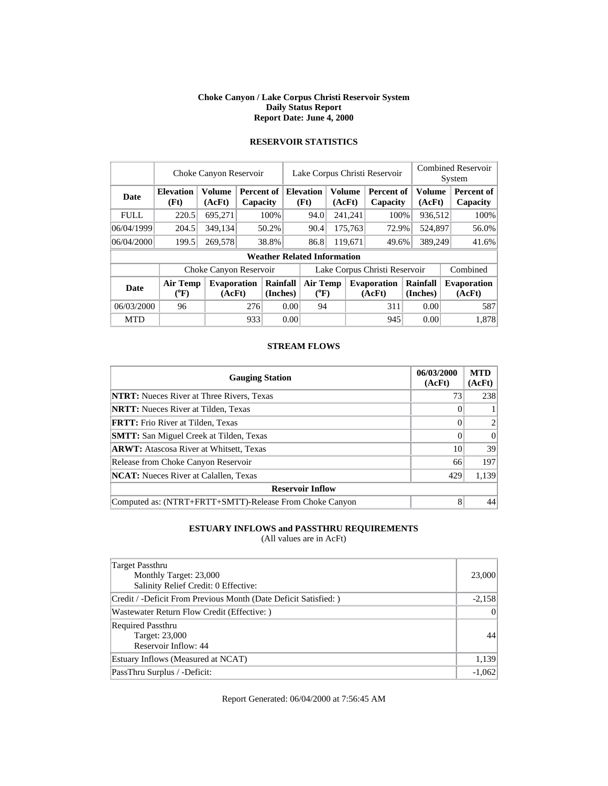#### **Choke Canyon / Lake Corpus Christi Reservoir System Daily Status Report Report Date: June 4, 2000**

|             | Choke Canyon Reservoir                                       |                        | Lake Corpus Christi Reservoir |                              |                                    | <b>Combined Reservoir</b><br>System |                              |                        |                  |                              |                               |
|-------------|--------------------------------------------------------------|------------------------|-------------------------------|------------------------------|------------------------------------|-------------------------------------|------------------------------|------------------------|------------------|------------------------------|-------------------------------|
| Date        | <b>Elevation</b><br>(Ft)                                     | Volume<br>(AcFt)       | Percent of<br>Capacity        |                              | <b>Elevation</b><br>(Ft)           | Volume<br>(AcFt)                    |                              | Percent of<br>Capacity | Volume<br>(AcFt) |                              | <b>Percent of</b><br>Capacity |
| <b>FULL</b> | 220.5                                                        | 695,271                |                               | 100%                         | 94.0                               |                                     | 241,241                      | 100%                   | 936,512          |                              | 100%                          |
| 06/04/1999  | 204.5                                                        | 349,134                |                               | 50.2%                        | 90.4                               |                                     | 175,763                      | 72.9%                  | 524,897          |                              | 56.0%                         |
| 06/04/2000  | 199.5                                                        | 269,578                |                               | 38.8%                        | 86.8                               |                                     | 119,671                      | 49.6%                  | 389,249          |                              | 41.6%                         |
|             |                                                              |                        |                               |                              | <b>Weather Related Information</b> |                                     |                              |                        |                  |                              |                               |
|             |                                                              | Choke Canyon Reservoir |                               |                              | Lake Corpus Christi Reservoir      |                                     |                              |                        |                  |                              | Combined                      |
| <b>Date</b> | <b>Air Temp</b><br><b>Evaporation</b><br>$(^{0}F)$<br>(AcFt) |                        | Rainfall<br>(Inches)          | <b>Air Temp</b><br>$(^{0}F)$ |                                    |                                     | <b>Evaporation</b><br>(AcFt) | Rainfall<br>(Inches)   |                  | <b>Evaporation</b><br>(AcFt) |                               |
| 06/03/2000  | 96                                                           |                        | 276                           |                              | 0.00<br>94                         |                                     |                              | 311                    | 0.00             |                              | 587                           |
| <b>MTD</b>  |                                                              |                        | 933                           |                              | 0.00                               |                                     |                              | 945                    | 0.00             |                              | 1,878                         |

## **RESERVOIR STATISTICS**

#### **STREAM FLOWS**

| <b>Gauging Station</b>                                  | 06/03/2000<br>(AcFt) | <b>MTD</b><br>(AcFt) |  |  |  |  |  |
|---------------------------------------------------------|----------------------|----------------------|--|--|--|--|--|
| <b>NTRT:</b> Nueces River at Three Rivers, Texas        | 73                   | 238                  |  |  |  |  |  |
| <b>NRTT:</b> Nueces River at Tilden, Texas              |                      |                      |  |  |  |  |  |
| <b>FRTT:</b> Frio River at Tilden, Texas                | 0                    | 2                    |  |  |  |  |  |
| <b>SMTT:</b> San Miguel Creek at Tilden, Texas          |                      | $\Omega$             |  |  |  |  |  |
| <b>ARWT:</b> Atascosa River at Whitsett, Texas          | 10                   | 39                   |  |  |  |  |  |
| Release from Choke Canyon Reservoir                     | 66                   | 197                  |  |  |  |  |  |
| <b>NCAT:</b> Nueces River at Calallen, Texas            | 429                  | 1,139                |  |  |  |  |  |
| <b>Reservoir Inflow</b>                                 |                      |                      |  |  |  |  |  |
| Computed as: (NTRT+FRTT+SMTT)-Release From Choke Canyon | 8                    | 44                   |  |  |  |  |  |

### **ESTUARY INFLOWS and PASSTHRU REQUIREMENTS**

(All values are in AcFt)

| Target Passthru<br>Monthly Target: 23,000<br>Salinity Relief Credit: 0 Effective: | 23,000   |
|-----------------------------------------------------------------------------------|----------|
| Credit / -Deficit From Previous Month (Date Deficit Satisfied: )                  | $-2,158$ |
| Wastewater Return Flow Credit (Effective: )                                       | $\Omega$ |
| <b>Required Passthru</b><br>Target: 23,000<br>Reservoir Inflow: 44                | 44       |
| Estuary Inflows (Measured at NCAT)                                                | 1,139    |
| PassThru Surplus / -Deficit:                                                      | $-1,062$ |

Report Generated: 06/04/2000 at 7:56:45 AM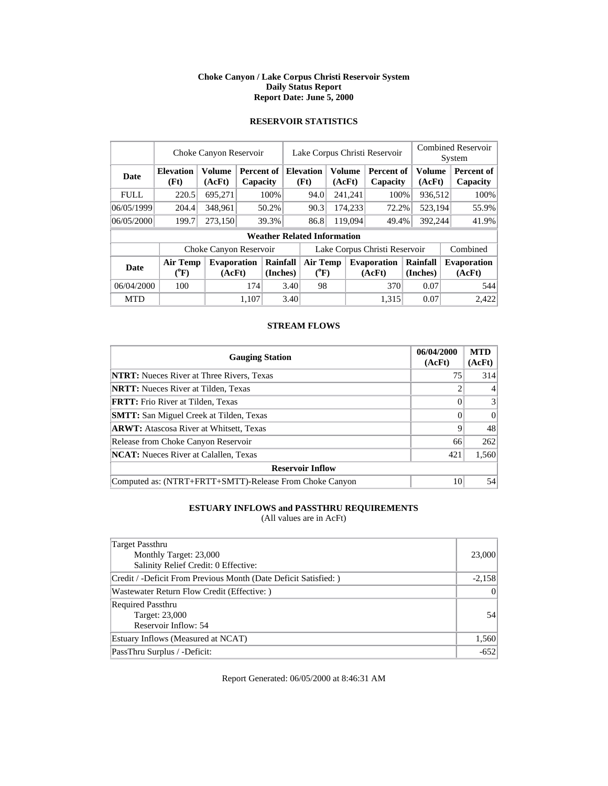#### **Choke Canyon / Lake Corpus Christi Reservoir System Daily Status Report Report Date: June 5, 2000**

### **RESERVOIR STATISTICS**

|             | Choke Canyon Reservoir         |                         |          |                             | Lake Corpus Christi Reservoir |                                    |  |                         |                              | <b>Combined Reservoir</b><br>System |  |                              |
|-------------|--------------------------------|-------------------------|----------|-----------------------------|-------------------------------|------------------------------------|--|-------------------------|------------------------------|-------------------------------------|--|------------------------------|
| <b>Date</b> | <b>Elevation</b><br>(Ft)       | <b>Volume</b><br>(AcFt) | Capacity | <b>Percent of Elevation</b> |                               | (Ft)                               |  | <b>Volume</b><br>(AcFt) | Percent of<br>Capacity       | <b>Volume</b><br>(AcFt)             |  | Percent of<br>Capacity       |
| <b>FULL</b> | 220.5                          | 695.271                 |          | 100%                        |                               | 94.0                               |  | 241,241                 | 100%                         | 936,512                             |  | 100%                         |
| 06/05/1999  | 204.4                          | 348,961                 |          | 50.2%                       |                               | 90.3                               |  | 174,233                 | 72.2%                        | 523,194                             |  | 55.9%                        |
| 06/05/2000  | 199.7                          | 273,150                 |          | 39.3%                       |                               | 86.8                               |  | 119,094                 | 49.4%                        | 392,244                             |  | 41.9%                        |
|             |                                |                         |          |                             |                               | <b>Weather Related Information</b> |  |                         |                              |                                     |  |                              |
|             |                                | Choke Canyon Reservoir  |          |                             | Lake Corpus Christi Reservoir |                                    |  |                         |                              |                                     |  | Combined                     |
| <b>Date</b> | Air Temp<br>$({}^0\mathrm{F})$ | Evaporation<br>(AcFt)   |          | Rainfall<br>(Inches)        |                               | Air Temp<br>$(^{\circ}F)$          |  |                         | <b>Evaporation</b><br>(AcFt) | Rainfall<br>(Inches)                |  | <b>Evaporation</b><br>(AcFt) |
| 06/04/2000  | 100                            |                         | 174      |                             | 3.40                          | 98                                 |  |                         | 370                          | 0.07                                |  | 544                          |
| <b>MTD</b>  |                                |                         | 1.107    |                             | 3.40                          |                                    |  |                         | 1.315                        | 0.07                                |  | 2.422                        |

### **STREAM FLOWS**

| <b>Gauging Station</b>                                  | 06/04/2000<br>(AcFt) | <b>MTD</b><br>(AcFt) |
|---------------------------------------------------------|----------------------|----------------------|
| <b>NTRT:</b> Nueces River at Three Rivers, Texas        | 75                   | 314                  |
| <b>NRTT:</b> Nueces River at Tilden, Texas              |                      |                      |
| <b>FRTT:</b> Frio River at Tilden, Texas                | 0                    | 3                    |
| <b>SMTT:</b> San Miguel Creek at Tilden, Texas          | $\Omega$             | $\Omega$             |
| <b>ARWT:</b> Atascosa River at Whitsett, Texas          | $\mathbf Q$          | 48                   |
| Release from Choke Canyon Reservoir                     | 66                   | 262                  |
| <b>NCAT:</b> Nueces River at Calallen, Texas            | 421                  | 1,560                |
| <b>Reservoir Inflow</b>                                 |                      |                      |
| Computed as: (NTRT+FRTT+SMTT)-Release From Choke Canyon | 10                   | 54                   |

## **ESTUARY INFLOWS and PASSTHRU REQUIREMENTS**

(All values are in AcFt)

| Target Passthru<br>Monthly Target: 23,000<br>Salinity Relief Credit: 0 Effective: | 23,000   |
|-----------------------------------------------------------------------------------|----------|
| Credit / -Deficit From Previous Month (Date Deficit Satisfied:)                   | $-2,158$ |
| Wastewater Return Flow Credit (Effective:)                                        | $\Omega$ |
| <b>Required Passthru</b><br>Target: 23,000<br>Reservoir Inflow: 54                | 54       |
| Estuary Inflows (Measured at NCAT)                                                | 1,560    |
| PassThru Surplus / -Deficit:                                                      | $-652$   |

Report Generated: 06/05/2000 at 8:46:31 AM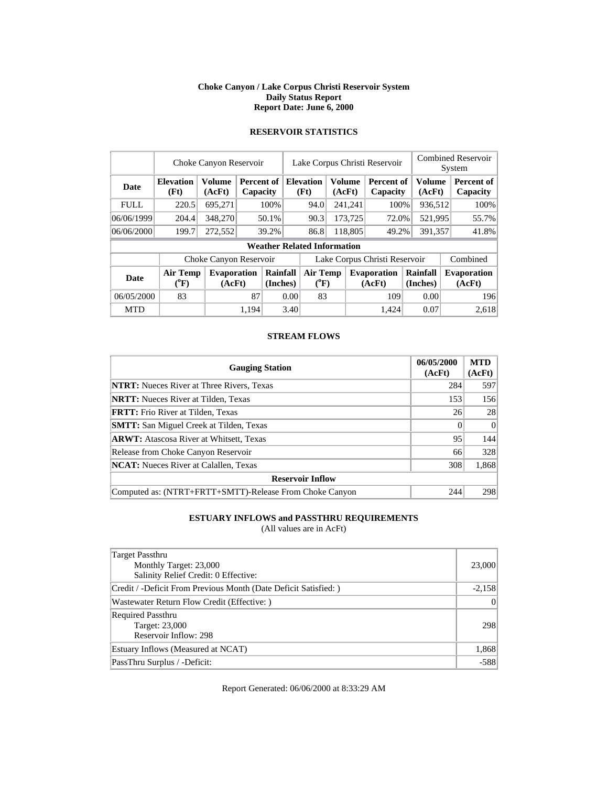#### **Choke Canyon / Lake Corpus Christi Reservoir System Daily Status Report Report Date: June 6, 2000**

|             |                                | Choke Canyon Reservoir       |                        |                                    | Lake Corpus Christi Reservoir |                                       |        |         |                              |                      | <b>Combined Reservoir</b><br>System |  |                              |  |
|-------------|--------------------------------|------------------------------|------------------------|------------------------------------|-------------------------------|---------------------------------------|--------|---------|------------------------------|----------------------|-------------------------------------|--|------------------------------|--|
| Date        | <b>Elevation</b><br>(Ft)       | <b>Volume</b><br>(AcFt)      | Percent of<br>Capacity |                                    |                               | <b>Elevation</b><br>(Ft)              | (AcFt) | Volume  | Percent of<br>Capacity       |                      | <b>Volume</b><br>(AcFt)             |  | Percent of<br>Capacity       |  |
| <b>FULL</b> | 220.5                          | 695.271                      |                        | 100%                               |                               | 94.0                                  |        | 241,241 | 100%                         |                      | 936,512                             |  | 100%                         |  |
| 06/06/1999  | 204.4                          | 348,270                      |                        | 50.1%                              |                               | 90.3                                  |        | 173,725 | 72.0%                        |                      | 521,995                             |  | 55.7%                        |  |
| 06/06/2000  | 199.7                          | 272,552                      |                        | 39.2%                              |                               | 86.8                                  |        | 118,805 | 49.2%                        |                      | 391.357                             |  | 41.8%                        |  |
|             |                                |                              |                        | <b>Weather Related Information</b> |                               |                                       |        |         |                              |                      |                                     |  |                              |  |
|             |                                | Choke Canyon Reservoir       |                        |                                    | Lake Corpus Christi Reservoir |                                       |        |         |                              |                      |                                     |  | Combined                     |  |
| <b>Date</b> | Air Temp<br>$({}^0\mathrm{F})$ | <b>Evaporation</b><br>(AcFt) |                        | Rainfall<br>(Inches)               |                               | <b>Air Temp</b><br>$({}^0\mathrm{F})$ |        |         | <b>Evaporation</b><br>(AcFt) | Rainfall<br>(Inches) |                                     |  | <b>Evaporation</b><br>(AcFt) |  |
| 06/05/2000  | 83                             |                              | 87                     |                                    | 0.00                          | 83                                    |        |         | 109                          |                      | 0.00                                |  | 196                          |  |
| <b>MTD</b>  |                                |                              | 1.194                  |                                    | 3.40                          |                                       |        |         | 1.424                        |                      | 0.07                                |  | 2,618                        |  |

## **RESERVOIR STATISTICS**

### **STREAM FLOWS**

| <b>Gauging Station</b>                                  | 06/05/2000<br>(AcFt) | <b>MTD</b><br>(AcFt) |
|---------------------------------------------------------|----------------------|----------------------|
| <b>NTRT:</b> Nueces River at Three Rivers, Texas        | 284                  | 597                  |
| <b>NRTT:</b> Nueces River at Tilden, Texas              | 153                  | 156                  |
| <b>FRTT:</b> Frio River at Tilden, Texas                | 26                   | 28                   |
| <b>SMTT:</b> San Miguel Creek at Tilden, Texas          | $\Omega$             | $\Omega$             |
| <b>ARWT:</b> Atascosa River at Whitsett, Texas          | 95                   | 144                  |
| Release from Choke Canyon Reservoir                     | 66                   | 328                  |
| <b>NCAT:</b> Nueces River at Calallen, Texas            | 308                  | 1,868                |
| <b>Reservoir Inflow</b>                                 |                      |                      |
| Computed as: (NTRT+FRTT+SMTT)-Release From Choke Canyon | 244                  | 298                  |

## **ESTUARY INFLOWS and PASSTHRU REQUIREMENTS**

(All values are in AcFt)

| Target Passthru<br>Monthly Target: 23,000<br>Salinity Relief Credit: 0 Effective: | 23,000   |
|-----------------------------------------------------------------------------------|----------|
| Credit / -Deficit From Previous Month (Date Deficit Satisfied: )                  | $-2,158$ |
| Wastewater Return Flow Credit (Effective: )                                       | 0        |
| Required Passthru<br>Target: 23,000<br>Reservoir Inflow: 298                      | 298      |
| Estuary Inflows (Measured at NCAT)                                                | 1,868    |
| PassThru Surplus / -Deficit:                                                      | $-588$   |

Report Generated: 06/06/2000 at 8:33:29 AM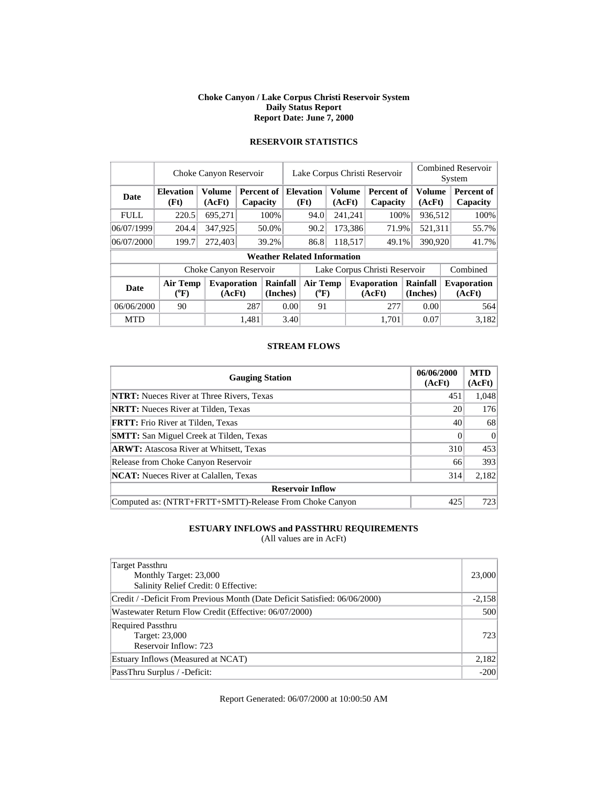#### **Choke Canyon / Lake Corpus Christi Reservoir System Daily Status Report Report Date: June 7, 2000**

|             |                          | Choke Canyon Reservoir       |                        |                                    | Lake Corpus Christi Reservoir |                              |                         |         |                               | <b>Combined Reservoir</b><br>System |                         |                              |
|-------------|--------------------------|------------------------------|------------------------|------------------------------------|-------------------------------|------------------------------|-------------------------|---------|-------------------------------|-------------------------------------|-------------------------|------------------------------|
| <b>Date</b> | <b>Elevation</b><br>(Ft) | <b>Volume</b><br>(AcFt)      | Percent of<br>Capacity |                                    |                               | <b>Elevation</b><br>(Ft)     | <b>Volume</b><br>(AcFt) |         | <b>Percent of</b><br>Capacity |                                     | <b>Volume</b><br>(AcFt) | Percent of<br>Capacity       |
| <b>FULL</b> | 220.5                    | 695,271                      |                        | 100%                               |                               | 94.0                         |                         | 241,241 | 100%                          |                                     | 936,512                 | 100%                         |
| 06/07/1999  | 204.4                    | 347,925                      |                        | 50.0%                              |                               | 90.2                         |                         | 173,386 | 71.9%                         |                                     | 521,311                 | 55.7%                        |
| 06/07/2000  | 199.7                    | 272,403                      |                        | 39.2%                              |                               | 86.8                         |                         | 118.517 | 49.1%                         |                                     | 390,920                 | 41.7%                        |
|             |                          |                              |                        | <b>Weather Related Information</b> |                               |                              |                         |         |                               |                                     |                         |                              |
|             |                          | Choke Canyon Reservoir       |                        |                                    |                               |                              |                         |         | Lake Corpus Christi Reservoir |                                     |                         | Combined                     |
| <b>Date</b> | Air Temp<br>$(^{0}F)$    | <b>Evaporation</b><br>(AcFt) |                        | Rainfall<br>(Inches)               |                               | <b>Air Temp</b><br>$(^{0}F)$ |                         |         | <b>Evaporation</b><br>(AcFt)  | <b>Rainfall</b><br>(Inches)         |                         | <b>Evaporation</b><br>(AcFt) |
| 06/06/2000  | 90                       |                              | 287                    |                                    | 0.00                          | 91                           |                         |         | 277                           |                                     | 0.00                    | 564                          |
| <b>MTD</b>  |                          |                              | 1.481                  |                                    | 3.40                          |                              |                         |         | 1,701                         |                                     | 0.07                    | 3.182                        |

## **RESERVOIR STATISTICS**

#### **STREAM FLOWS**

| <b>Gauging Station</b>                                  | 06/06/2000<br>(AcFt) | <b>MTD</b><br>(AcFt) |
|---------------------------------------------------------|----------------------|----------------------|
| <b>NTRT:</b> Nueces River at Three Rivers, Texas        | 451                  | 1,048                |
| <b>NRTT:</b> Nueces River at Tilden, Texas              | 20                   | 176                  |
| <b>FRTT:</b> Frio River at Tilden, Texas                | 40                   | 68                   |
| <b>SMTT:</b> San Miguel Creek at Tilden, Texas          |                      | $\Omega$             |
| <b>ARWT:</b> Atascosa River at Whitsett, Texas          | 310                  | 453                  |
| Release from Choke Canyon Reservoir                     | 66                   | 393                  |
| <b>NCAT:</b> Nueces River at Calallen, Texas            | 314                  | 2,182                |
| <b>Reservoir Inflow</b>                                 |                      |                      |
| Computed as: (NTRT+FRTT+SMTT)-Release From Choke Canyon | 425                  | 723                  |

### **ESTUARY INFLOWS and PASSTHRU REQUIREMENTS**

(All values are in AcFt)

| Target Passthru<br>Monthly Target: 23,000<br>Salinity Relief Credit: 0 Effective: | 23,000   |
|-----------------------------------------------------------------------------------|----------|
| Credit / -Deficit From Previous Month (Date Deficit Satisfied: 06/06/2000)        | $-2,158$ |
| Wastewater Return Flow Credit (Effective: 06/07/2000)                             | 500      |
| <b>Required Passthru</b><br>Target: 23,000<br>Reservoir Inflow: 723               | 7231     |
| Estuary Inflows (Measured at NCAT)                                                | 2,182    |
| PassThru Surplus / -Deficit:                                                      | $-200$   |

Report Generated: 06/07/2000 at 10:00:50 AM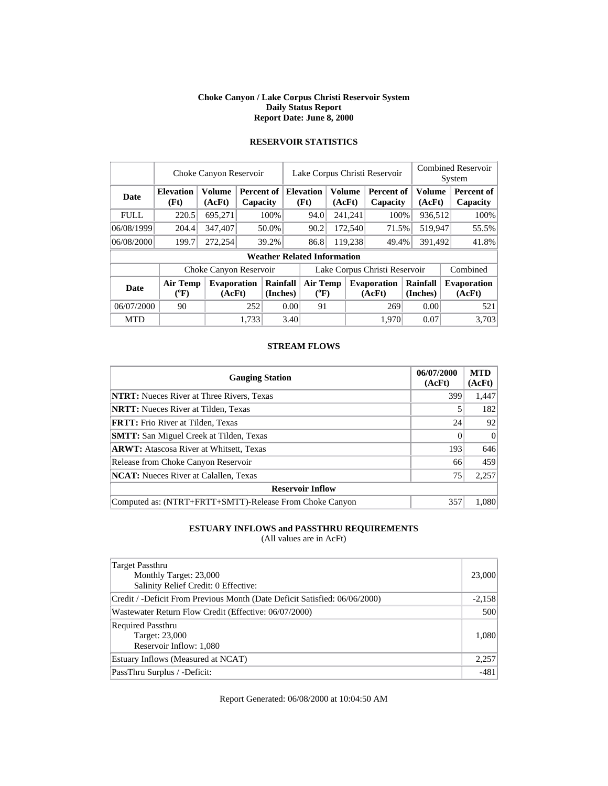#### **Choke Canyon / Lake Corpus Christi Reservoir System Daily Status Report Report Date: June 8, 2000**

|             |                          | Lake Corpus Christi Reservoir<br>Choke Canyon Reservoir |                                                      |      | <b>Combined Reservoir</b><br>System |         |                                                       |      |
|-------------|--------------------------|---------------------------------------------------------|------------------------------------------------------|------|-------------------------------------|---------|-------------------------------------------------------|------|
| Date        | <b>Elevation</b><br>(Ft) | (AcFt)                                                  | Volume   Percent of   Elevation  <br><b>Capacity</b> | (Ft) | (AcFt)                              | (AcFt)  | Volume   Percent of   Volume   Percent of<br>Capacity |      |
| <b>FULL</b> | 220.5                    | 695.271                                                 | 100%                                                 | 94.0 | 241,241                             | $100\%$ | 936.512                                               | 100% |

06/08/1999 204.4 347,407 50.0% 90.2 172,540 71.5% 519,947 55.5%

#### **RESERVOIR STATISTICS**

| 06/08/2000                                                          | 199.7                              | 272,254                      | $39.2\%$                    | 86.8                  | 119.238<br>49.4%             | 391.492              | 41.8%                        |  |  |  |
|---------------------------------------------------------------------|------------------------------------|------------------------------|-----------------------------|-----------------------|------------------------------|----------------------|------------------------------|--|--|--|
|                                                                     | <b>Weather Related Information</b> |                              |                             |                       |                              |                      |                              |  |  |  |
| Combined<br>Lake Corpus Christi Reservoir<br>Choke Canyon Reservoir |                                    |                              |                             |                       |                              |                      |                              |  |  |  |
| Date                                                                | Air Temp<br>$({}^0\mathrm{F})$     | <b>Evaporation</b><br>(AcFt) | <b>Rainfall</b><br>(Inches) | Air Temp<br>$(^{0}F)$ | <b>Evaporation</b><br>(AcFt) | Rainfall<br>(Inches) | <b>Evaporation</b><br>(AcFt) |  |  |  |
| 06/07/2000                                                          | 90                                 | 252                          | 0.00                        | 91                    | 269                          | 0.00                 | 521                          |  |  |  |
| <b>MTD</b>                                                          |                                    | 1,733                        | 3.40                        |                       | 1,970                        | 0.07                 | 3,703                        |  |  |  |

#### **STREAM FLOWS**

| <b>Gauging Station</b>                                  | 06/07/2000<br>(AcFt) | <b>MTD</b><br>(AcFt) |
|---------------------------------------------------------|----------------------|----------------------|
| <b>NTRT:</b> Nueces River at Three Rivers, Texas        | 399                  | 1,447                |
| <b>NRTT:</b> Nueces River at Tilden, Texas              |                      | 182                  |
| <b>FRTT:</b> Frio River at Tilden, Texas                | 24                   | 92                   |
| <b>SMTT:</b> San Miguel Creek at Tilden, Texas          |                      | $\Omega$             |
| <b>ARWT:</b> Atascosa River at Whitsett, Texas          | 193                  | 646                  |
| Release from Choke Canyon Reservoir                     | 66                   | 459                  |
| <b>NCAT:</b> Nueces River at Calallen, Texas            | 75                   | 2,257                |
| <b>Reservoir Inflow</b>                                 |                      |                      |
| Computed as: (NTRT+FRTT+SMTT)-Release From Choke Canyon | 357                  | 1,080                |

### **ESTUARY INFLOWS and PASSTHRU REQUIREMENTS**

(All values are in AcFt)

| Target Passthru<br>Monthly Target: 23,000<br>Salinity Relief Credit: 0 Effective: | 23,000   |
|-----------------------------------------------------------------------------------|----------|
| Credit / -Deficit From Previous Month (Date Deficit Satisfied: 06/06/2000)        | $-2,158$ |
| Wastewater Return Flow Credit (Effective: 06/07/2000)                             | 500      |
| <b>Required Passthru</b><br>Target: 23,000<br>Reservoir Inflow: 1,080             | 1,080    |
| Estuary Inflows (Measured at NCAT)                                                | 2,257    |
| PassThru Surplus / -Deficit:                                                      | $-481$   |

Report Generated: 06/08/2000 at 10:04:50 AM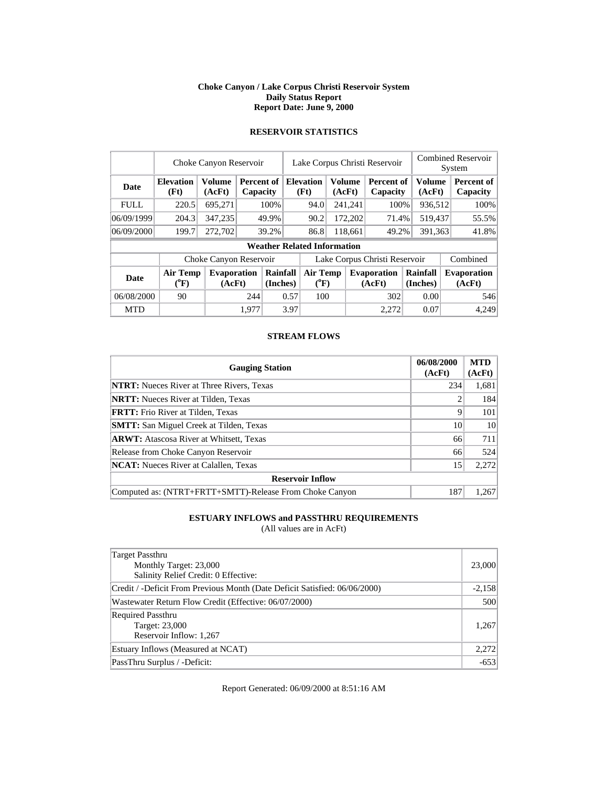#### **Choke Canyon / Lake Corpus Christi Reservoir System Daily Status Report Report Date: June 9, 2000**

|             |                                | Choke Canyon Reservoir       |            | Lake Corpus Christi Reservoir |          |                                    |        |               |                               | <b>Combined Reservoir</b> |                      |  |                              |
|-------------|--------------------------------|------------------------------|------------|-------------------------------|----------|------------------------------------|--------|---------------|-------------------------------|---------------------------|----------------------|--|------------------------------|
|             |                                |                              |            |                               |          |                                    |        |               |                               | System                    |                      |  |                              |
| Date        | <b>Elevation</b>               | <b>Volume</b>                | Percent of |                               |          | <b>Elevation</b>                   |        | <b>Volume</b> | Percent of                    |                           | Volume               |  | Percent of                   |
|             | (Ft)                           | (AcFt)                       | Capacity   |                               |          | (Ft)                               | (AcFt) |               | Capacity                      |                           | (AcFt)               |  | Capacity                     |
| <b>FULL</b> | 220.5                          | 695.271                      |            | 100%                          |          | 94.0                               |        | 241,241       | 100%                          |                           | 936,512              |  | 100%                         |
| 06/09/1999  | 204.3                          | 347,235                      |            | 49.9%                         |          |                                    |        | 172,202       | 71.4%                         |                           | 519,437              |  | 55.5%                        |
| 06/09/2000  | 199.7                          | 272,702                      |            | 39.2%                         |          | 86.8                               |        | 118,661       | 49.2%                         |                           | 391,363              |  | 41.8%                        |
|             |                                |                              |            |                               |          | <b>Weather Related Information</b> |        |               |                               |                           |                      |  |                              |
|             |                                | Choke Canyon Reservoir       |            |                               |          |                                    |        |               | Lake Corpus Christi Reservoir |                           |                      |  | Combined                     |
| <b>Date</b> | Air Temp<br>$({}^0\mathrm{F})$ | <b>Evaporation</b><br>(AcFt) |            | Rainfall<br>(Inches)          | Air Temp |                                    |        |               | <b>Evaporation</b><br>(AcFt)  |                           | Rainfall<br>(Inches) |  | <b>Evaporation</b><br>(AcFt) |
|             |                                |                              |            |                               |          | $(^{0}F)$                          |        |               |                               |                           |                      |  |                              |
| 06/08/2000  | 90                             |                              | 244        | 0.57                          |          |                                    | 100    |               | 302                           |                           | 0.00                 |  | 546                          |
| <b>MTD</b>  |                                |                              | 1.977      |                               | 3.97     |                                    |        |               | 2.272                         |                           | 0.07                 |  | 4,249                        |

## **RESERVOIR STATISTICS**

### **STREAM FLOWS**

| <b>Gauging Station</b>                                  | 06/08/2000<br>(AcFt) | <b>MTD</b><br>(AcFt) |
|---------------------------------------------------------|----------------------|----------------------|
| <b>NTRT:</b> Nueces River at Three Rivers, Texas        | 234                  | 1,681                |
| <b>NRTT:</b> Nueces River at Tilden, Texas              | $\overline{c}$       | 184                  |
| <b>FRTT:</b> Frio River at Tilden, Texas                | 9                    | 101                  |
| <b>SMTT:</b> San Miguel Creek at Tilden, Texas          | 10                   | 10                   |
| <b>ARWT:</b> Atascosa River at Whitsett, Texas          | 66                   | 711                  |
| Release from Choke Canyon Reservoir                     | 66                   | 524                  |
| <b>NCAT:</b> Nueces River at Calallen, Texas            | 15                   | 2,272                |
| <b>Reservoir Inflow</b>                                 |                      |                      |
| Computed as: (NTRT+FRTT+SMTT)-Release From Choke Canyon | 187                  | 1,267                |

## **ESTUARY INFLOWS and PASSTHRU REQUIREMENTS**

(All values are in AcFt)

| Target Passthru<br>Monthly Target: 23,000<br>Salinity Relief Credit: 0 Effective: | 23,000   |
|-----------------------------------------------------------------------------------|----------|
| Credit / -Deficit From Previous Month (Date Deficit Satisfied: 06/06/2000)        | $-2,158$ |
| Wastewater Return Flow Credit (Effective: 06/07/2000)                             | 500      |
| Required Passthru<br>Target: 23,000<br>Reservoir Inflow: 1,267                    | 1,267    |
| Estuary Inflows (Measured at NCAT)                                                | 2,272    |
| PassThru Surplus / -Deficit:                                                      | $-653$   |

Report Generated: 06/09/2000 at 8:51:16 AM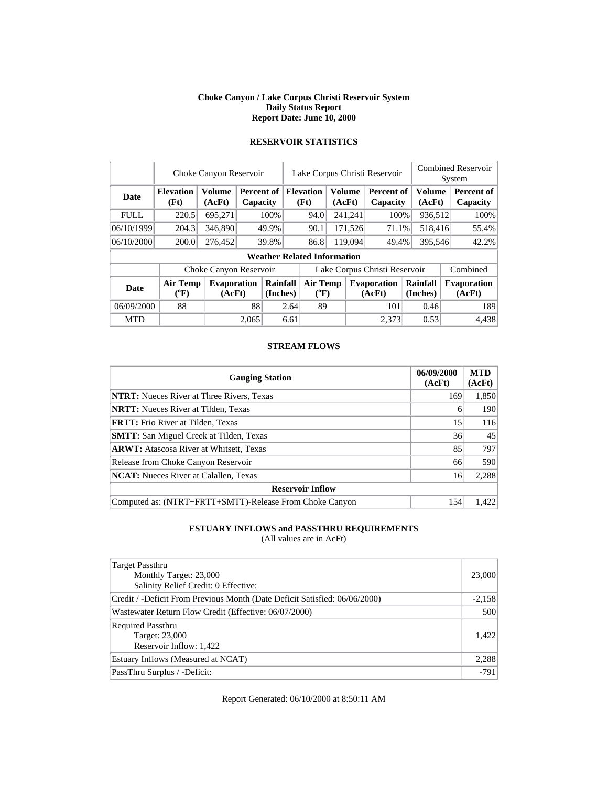#### **Choke Canyon / Lake Corpus Christi Reservoir System Daily Status Report Report Date: June 10, 2000**

|             | Choke Canyon Reservoir   | Lake Corpus Christi Reservoir |                               |                      |                       |                                    |         | <b>Combined Reservoir</b><br>System |                               |         |                         |  |                              |
|-------------|--------------------------|-------------------------------|-------------------------------|----------------------|-----------------------|------------------------------------|---------|-------------------------------------|-------------------------------|---------|-------------------------|--|------------------------------|
| Date        | <b>Elevation</b><br>(Ft) | <b>Volume</b><br>(AcFt)       | <b>Percent of</b><br>Capacity |                      |                       | <b>Elevation</b><br>(Ft)           | (AcFt)  | Volume                              | Percent of<br>Capacity        |         | <b>Volume</b><br>(AcFt) |  | Percent of<br>Capacity       |
| <b>FULL</b> | 220.5                    | 695,271                       |                               | 100%                 |                       | 94.0                               |         | 241,241                             | 100%                          |         | 936,512                 |  | 100%                         |
| 06/10/1999  | 204.3                    | 346,890                       |                               | 49.9%                |                       | 90.1                               | 171,526 |                                     | 71.1%                         | 518,416 |                         |  | 55.4%                        |
| 06/10/2000  | 200.0                    | 276,452                       |                               | 39.8%                |                       | 86.8                               |         | 119,094                             | 49.4%                         |         | 395,546                 |  | 42.2%                        |
|             |                          |                               |                               |                      |                       | <b>Weather Related Information</b> |         |                                     |                               |         |                         |  |                              |
|             |                          | Choke Canyon Reservoir        |                               |                      |                       |                                    |         |                                     | Lake Corpus Christi Reservoir |         |                         |  | Combined                     |
| <b>Date</b> | Air Temp<br>$(^oF)$      | <b>Evaporation</b><br>(AcFt)  |                               | Rainfall<br>(Inches) | Air Temp<br>$(^{0}F)$ |                                    |         |                                     | <b>Evaporation</b><br>(AcFt)  |         | Rainfall<br>(Inches)    |  | <b>Evaporation</b><br>(AcFt) |
| 06/09/2000  | 88                       |                               | 88                            |                      | 2.64                  | 89                                 |         |                                     | 101                           |         | 0.46                    |  | 189                          |
| <b>MTD</b>  |                          |                               | 2,065                         |                      | 6.61                  |                                    |         |                                     | 2.373                         |         | 0.53                    |  | 4,438                        |

## **RESERVOIR STATISTICS**

#### **STREAM FLOWS**

| <b>Gauging Station</b>                                  | 06/09/2000<br>(AcFt) | <b>MTD</b><br>(AcFt) |
|---------------------------------------------------------|----------------------|----------------------|
| <b>NTRT:</b> Nueces River at Three Rivers, Texas        | 169                  | 1,850                |
| <b>NRTT:</b> Nueces River at Tilden, Texas              | 6                    | 190                  |
| <b>FRTT:</b> Frio River at Tilden, Texas                | 15                   | 116                  |
| <b>SMTT:</b> San Miguel Creek at Tilden, Texas          | 36                   | 45                   |
| <b>ARWT:</b> Atascosa River at Whitsett, Texas          | 85                   | 797                  |
| Release from Choke Canyon Reservoir                     | 66                   | 590                  |
| <b>NCAT:</b> Nueces River at Calallen, Texas            | 16                   | 2,288                |
| <b>Reservoir Inflow</b>                                 |                      |                      |
| Computed as: (NTRT+FRTT+SMTT)-Release From Choke Canyon | 154                  | 1.422                |

## **ESTUARY INFLOWS and PASSTHRU REQUIREMENTS**

(All values are in AcFt)

| Target Passthru<br>Monthly Target: 23,000<br>Salinity Relief Credit: 0 Effective: | 23,000   |
|-----------------------------------------------------------------------------------|----------|
| Credit / -Deficit From Previous Month (Date Deficit Satisfied: 06/06/2000)        | $-2,158$ |
| Wastewater Return Flow Credit (Effective: 06/07/2000)                             | 500      |
| <b>Required Passthru</b><br>Target: 23,000<br>Reservoir Inflow: 1,422             | 1.422    |
| Estuary Inflows (Measured at NCAT)                                                | 2,288    |
| PassThru Surplus / -Deficit:                                                      | $-791$   |

Report Generated: 06/10/2000 at 8:50:11 AM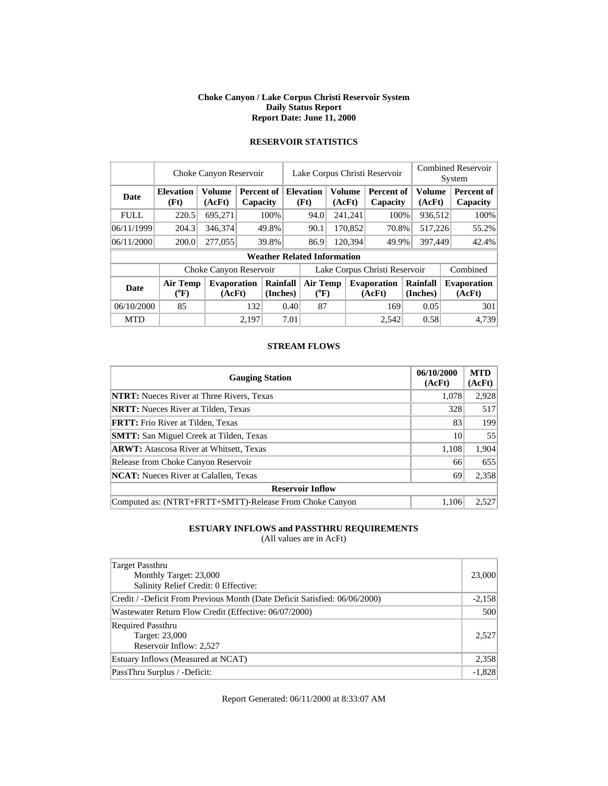#### **Choke Canyon / Lake Corpus Christi Reservoir System Daily Status Report Report Date: June 11, 2000**

|             |                            | Choke Canyon Reservoir       |                               |                      |      | Lake Corpus Christi Reservoir      |         |               |                               |                      |         | <b>Combined Reservoir</b><br>System |  |  |
|-------------|----------------------------|------------------------------|-------------------------------|----------------------|------|------------------------------------|---------|---------------|-------------------------------|----------------------|---------|-------------------------------------|--|--|
| Date        | <b>Elevation</b><br>(Ft)   | <b>Volume</b><br>(AcFt)      | <b>Percent of</b><br>Capacity |                      |      | <b>Elevation</b><br>(Ft)           | (AcFt)  | <b>Volume</b> | <b>Percent of</b><br>Capacity | Volume<br>(AcFt)     |         | Percent of<br>Capacity              |  |  |
| <b>FULL</b> | 220.5                      | 695,271                      |                               | 100%                 |      | 94.0                               |         | 241,241       | 100%                          |                      | 936,512 | 100%                                |  |  |
| 06/11/1999  | 204.3                      | 346,374                      |                               | 49.8%                |      | 90.1                               |         | 170,852       | 70.8%                         |                      | 517,226 | 55.2%                               |  |  |
| 06/11/2000  | 200.0                      | 277,055                      |                               | 39.8%                |      | 86.9                               | 120,394 |               | 49.9%                         |                      | 397,449 | 42.4%                               |  |  |
|             |                            |                              |                               |                      |      | <b>Weather Related Information</b> |         |               |                               |                      |         |                                     |  |  |
|             |                            | Choke Canyon Reservoir       |                               |                      |      |                                    |         |               | Lake Corpus Christi Reservoir |                      |         | Combined                            |  |  |
| <b>Date</b> | <b>Air Temp</b><br>$(^oF)$ | <b>Evaporation</b><br>(AcFt) |                               | Rainfall<br>(Inches) |      | Air Temp<br>$(^{\circ}\text{F})$   |         |               | <b>Evaporation</b><br>(AcFt)  | Rainfall<br>(Inches) |         | <b>Evaporation</b><br>(AcFt)        |  |  |
| 06/10/2000  | 85                         |                              | 132                           |                      | 0.40 | 87                                 |         |               | 169                           | 0.05                 |         | 301                                 |  |  |
| <b>MTD</b>  |                            |                              | 2,197                         |                      | 7.01 |                                    |         |               | 2,542                         | 0.58                 |         | 4,739                               |  |  |

## **RESERVOIR STATISTICS**

#### **STREAM FLOWS**

| <b>Gauging Station</b>                                  | 06/10/2000<br>(AcFt) | <b>MTD</b><br>(AcFt) |
|---------------------------------------------------------|----------------------|----------------------|
| <b>NTRT:</b> Nueces River at Three Rivers, Texas        | 1,078                | 2,928                |
| <b>NRTT:</b> Nueces River at Tilden, Texas              | 328                  | 517                  |
| <b>FRTT:</b> Frio River at Tilden, Texas                | 83                   | 199                  |
| <b>SMTT:</b> San Miguel Creek at Tilden, Texas          | 10                   | 55                   |
| <b>ARWT:</b> Atascosa River at Whitsett, Texas          | 1,108                | 1,904                |
| Release from Choke Canyon Reservoir                     | 66                   | 655                  |
| <b>NCAT:</b> Nueces River at Calallen, Texas            | 69                   | 2,358                |
| <b>Reservoir Inflow</b>                                 |                      |                      |
| Computed as: (NTRT+FRTT+SMTT)-Release From Choke Canyon | 1.106                | 2,527                |

## **ESTUARY INFLOWS and PASSTHRU REQUIREMENTS**

(All values are in AcFt)

| <b>Target Passthru</b><br>Monthly Target: 23,000<br>Salinity Relief Credit: 0 Effective: | 23,000   |
|------------------------------------------------------------------------------------------|----------|
| Credit / -Deficit From Previous Month (Date Deficit Satisfied: 06/06/2000)               | $-2,158$ |
| Wastewater Return Flow Credit (Effective: 06/07/2000)                                    | 500      |
| <b>Required Passthru</b><br>Target: 23,000<br>Reservoir Inflow: 2,527                    | 2,527    |
| Estuary Inflows (Measured at NCAT)                                                       | 2,358    |
| PassThru Surplus / -Deficit:                                                             | $-1,828$ |

Report Generated: 06/11/2000 at 8:33:07 AM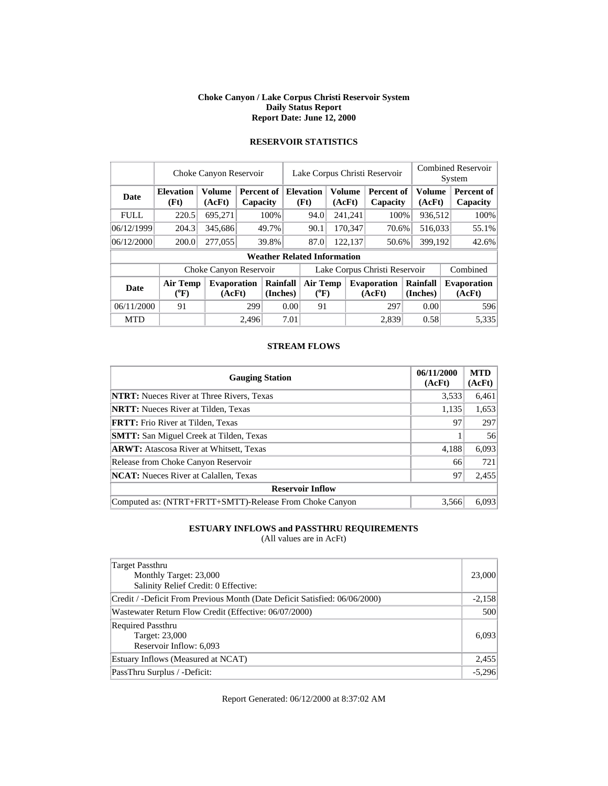#### **Choke Canyon / Lake Corpus Christi Reservoir System Daily Status Report Report Date: June 12, 2000**

|             |                            | Choke Canyon Reservoir       |                               | Lake Corpus Christi Reservoir |      |                                    |  |                         |                               | <b>Combined Reservoir</b><br>System |                      |         |                               |  |       |
|-------------|----------------------------|------------------------------|-------------------------------|-------------------------------|------|------------------------------------|--|-------------------------|-------------------------------|-------------------------------------|----------------------|---------|-------------------------------|--|-------|
| Date        | <b>Elevation</b><br>(Ft)   | <b>Volume</b><br>(AcFt)      | <b>Percent of</b><br>Capacity |                               |      | <b>Elevation</b><br>(Ft)           |  | <b>Volume</b><br>(AcFt) | <b>Percent of</b><br>Capacity |                                     | Volume<br>(AcFt)     |         | <b>Percent of</b><br>Capacity |  |       |
| <b>FULL</b> | 220.5                      | 695,271                      |                               | 100%                          |      | 94.0                               |  | 241,241                 | 100%                          |                                     | 936,512              |         | 100%                          |  |       |
| 06/12/1999  | 204.3                      | 345,686                      |                               | 49.7%                         |      | 90.1                               |  | 170,347<br>70.6%        |                               |                                     | 516,033              |         | 55.1%                         |  |       |
| 06/12/2000  | 200.0                      | 277,055                      |                               | 39.8%                         |      |                                    |  | 87.0                    |                               | 122,137<br>50.6%                    |                      | 399,192 |                               |  | 42.6% |
|             |                            |                              |                               |                               |      | <b>Weather Related Information</b> |  |                         |                               |                                     |                      |         |                               |  |       |
|             |                            | Choke Canyon Reservoir       |                               |                               |      |                                    |  |                         | Lake Corpus Christi Reservoir |                                     |                      |         | Combined                      |  |       |
| <b>Date</b> | <b>Air Temp</b><br>$(^oF)$ | <b>Evaporation</b><br>(AcFt) |                               | Rainfall<br>(Inches)          |      | Air Temp<br>$(^{\circ}\text{F})$   |  |                         | <b>Evaporation</b><br>(AcFt)  |                                     | Rainfall<br>(Inches) |         | <b>Evaporation</b><br>(AcFt)  |  |       |
| 06/11/2000  | 91                         |                              |                               | 299<br>0.00                   |      | 91                                 |  |                         | 297                           |                                     | 0.00                 |         | 596                           |  |       |
| <b>MTD</b>  |                            |                              | 2,496                         |                               | 7.01 |                                    |  |                         | 2,839                         |                                     | 0.58                 |         | 5,335                         |  |       |

## **RESERVOIR STATISTICS**

#### **STREAM FLOWS**

| <b>Gauging Station</b>                                  | 06/11/2000<br>(AcFt) | <b>MTD</b><br>(AcFt) |
|---------------------------------------------------------|----------------------|----------------------|
| <b>NTRT:</b> Nueces River at Three Rivers, Texas        | 3,533                | 6,461                |
| <b>NRTT:</b> Nueces River at Tilden, Texas              | 1,135                | 1,653                |
| <b>FRTT:</b> Frio River at Tilden, Texas                | 97                   | 297                  |
| <b>SMTT:</b> San Miguel Creek at Tilden, Texas          |                      | 56                   |
| <b>ARWT:</b> Atascosa River at Whitsett, Texas          | 4,188                | 6,093                |
| Release from Choke Canyon Reservoir                     | 66                   | 721                  |
| <b>NCAT:</b> Nueces River at Calallen, Texas            | 97                   | 2,455                |
| <b>Reservoir Inflow</b>                                 |                      |                      |
| Computed as: (NTRT+FRTT+SMTT)-Release From Choke Canyon | 3,566                | 6,093                |

## **ESTUARY INFLOWS and PASSTHRU REQUIREMENTS**

(All values are in AcFt)

| Target Passthru<br>Monthly Target: 23,000<br>Salinity Relief Credit: 0 Effective: | 23,000   |
|-----------------------------------------------------------------------------------|----------|
| Credit / -Deficit From Previous Month (Date Deficit Satisfied: 06/06/2000)        | $-2,158$ |
| Wastewater Return Flow Credit (Effective: 06/07/2000)                             | 500      |
| <b>Required Passthru</b><br>Target: 23,000<br>Reservoir Inflow: 6,093             | 6,093    |
| Estuary Inflows (Measured at NCAT)                                                | 2,455    |
| PassThru Surplus / -Deficit:                                                      | $-5,296$ |

Report Generated: 06/12/2000 at 8:37:02 AM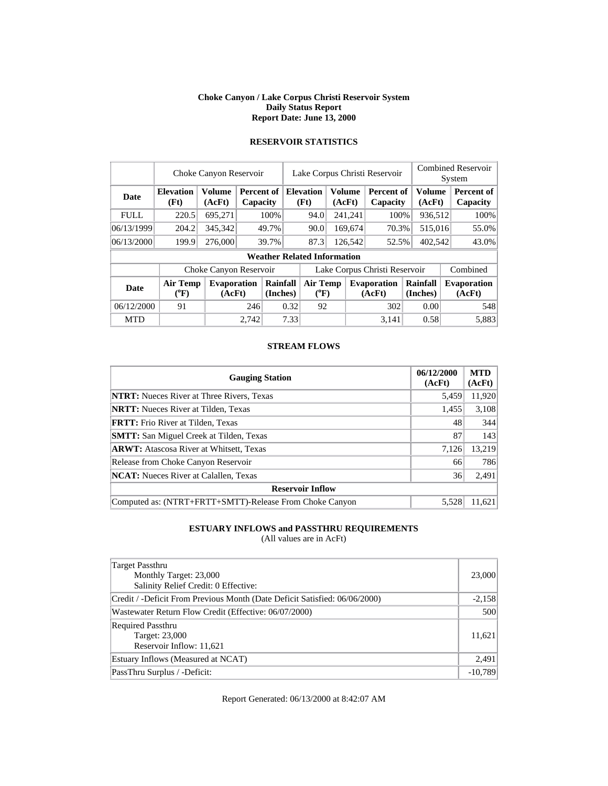#### **Choke Canyon / Lake Corpus Christi Reservoir System Daily Status Report Report Date: June 13, 2000**

|             | Choke Canyon Reservoir   | Lake Corpus Christi Reservoir |                                   |                      |                       |                                    |        | <b>Combined Reservoir</b><br>System |                               |                      |                         |                              |
|-------------|--------------------------|-------------------------------|-----------------------------------|----------------------|-----------------------|------------------------------------|--------|-------------------------------------|-------------------------------|----------------------|-------------------------|------------------------------|
| Date        | <b>Elevation</b><br>(Ft) | Volume<br>(AcFt)              | Percent of<br>Capacity            |                      |                       | <b>Elevation</b><br>(Ft)           | (AcFt) | <b>Volume</b>                       | Percent of<br>Capacity        |                      | <b>Volume</b><br>(AcFt) | Percent of<br>Capacity       |
| <b>FULL</b> | 220.5                    | 695,271                       |                                   | 100%                 |                       | 94.0                               |        | 241,241                             | 100%                          |                      | 936,512                 | 100%                         |
| 06/13/1999  | 204.2                    | 345,342                       | 169,674<br>49.7%<br>90.0<br>70.3% |                      |                       | 515,016                            | 55.0%  |                                     |                               |                      |                         |                              |
| 06/13/2000  | 199.9                    | 276,000                       |                                   | 39.7%                |                       | 87.3<br>126,542<br>52.5%           |        |                                     | 402,542                       | 43.0%                |                         |                              |
|             |                          |                               |                                   |                      |                       | <b>Weather Related Information</b> |        |                                     |                               |                      |                         |                              |
|             |                          | Choke Canyon Reservoir        |                                   |                      |                       |                                    |        |                                     | Lake Corpus Christi Reservoir |                      |                         | Combined                     |
| <b>Date</b> | Air Temp<br>$(^oF)$      | <b>Evaporation</b><br>(AcFt)  |                                   | Rainfall<br>(Inches) | Air Temp<br>$(^{0}F)$ |                                    |        |                                     | <b>Evaporation</b><br>(AcFt)  | Rainfall<br>(Inches) |                         | <b>Evaporation</b><br>(AcFt) |
| 06/12/2000  | 91                       |                               | 246                               |                      | 0.32                  | 92                                 |        |                                     | 302                           |                      | 0.00                    | 548                          |
| <b>MTD</b>  |                          |                               | 2,742                             |                      | 7.33                  |                                    |        |                                     | 3.141                         |                      | 0.58                    | 5,883                        |

## **RESERVOIR STATISTICS**

#### **STREAM FLOWS**

| <b>Gauging Station</b>                                  | 06/12/2000<br>(AcFt) | <b>MTD</b><br>(AcFt) |
|---------------------------------------------------------|----------------------|----------------------|
| <b>NTRT:</b> Nueces River at Three Rivers, Texas        | 5,459                | 11,920               |
| <b>NRTT:</b> Nueces River at Tilden, Texas              | 1,455                | 3,108                |
| <b>FRTT:</b> Frio River at Tilden, Texas                | 48                   | 344                  |
| <b>SMTT:</b> San Miguel Creek at Tilden, Texas          | 87                   | 143                  |
| <b>ARWT:</b> Atascosa River at Whitsett, Texas          | 7.126                | 13,219               |
| Release from Choke Canyon Reservoir                     | 66                   | 786                  |
| <b>NCAT:</b> Nueces River at Calallen, Texas            | 36                   | 2,491                |
| <b>Reservoir Inflow</b>                                 |                      |                      |
| Computed as: (NTRT+FRTT+SMTT)-Release From Choke Canyon | 5.528                | 11.621               |

## **ESTUARY INFLOWS and PASSTHRU REQUIREMENTS**

(All values are in AcFt)

| Target Passthru<br>Monthly Target: 23,000<br>Salinity Relief Credit: 0 Effective: | 23,000    |
|-----------------------------------------------------------------------------------|-----------|
| Credit / -Deficit From Previous Month (Date Deficit Satisfied: 06/06/2000)        | $-2,158$  |
| Wastewater Return Flow Credit (Effective: 06/07/2000)                             | 500       |
| <b>Required Passthru</b><br>Target: 23,000<br>Reservoir Inflow: 11,621            | 11.621    |
| Estuary Inflows (Measured at NCAT)                                                | 2,491     |
| PassThru Surplus / -Deficit:                                                      | $-10.789$ |

Report Generated: 06/13/2000 at 8:42:07 AM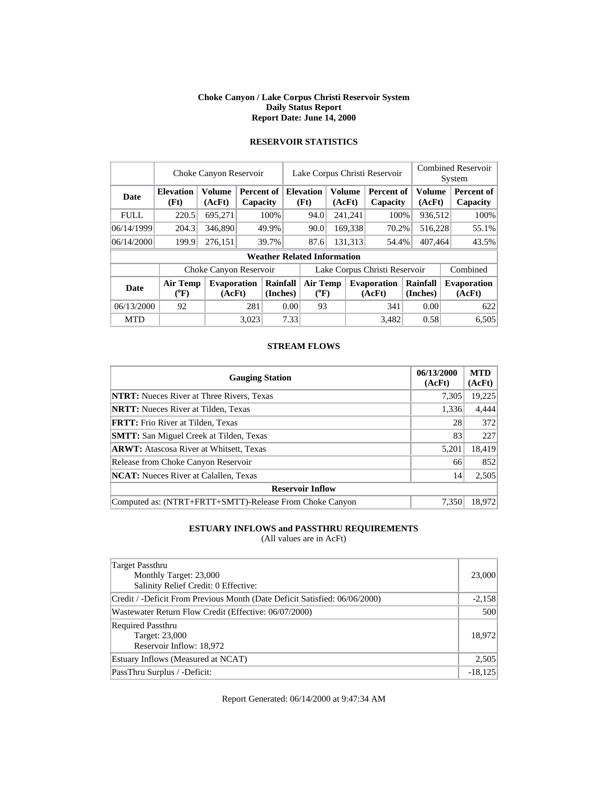#### **Choke Canyon / Lake Corpus Christi Reservoir System Daily Status Report Report Date: June 14, 2000**

|             | Choke Canyon Reservoir   | Lake Corpus Christi Reservoir |                               |                      |                          |                                    |        | <b>Combined Reservoir</b><br>System |                               |                         |         |                              |         |       |
|-------------|--------------------------|-------------------------------|-------------------------------|----------------------|--------------------------|------------------------------------|--------|-------------------------------------|-------------------------------|-------------------------|---------|------------------------------|---------|-------|
| Date        | <b>Elevation</b><br>(Ft) | <b>Volume</b><br>(AcFt)       | <b>Percent of</b><br>Capacity |                      |                          | <b>Elevation</b><br>(Ft)           | (AcFt) | Volume                              | Percent of<br>Capacity        | <b>Volume</b><br>(AcFt) |         | Percent of<br>Capacity       |         |       |
| <b>FULL</b> | 220.5                    | 695,271                       |                               | 100%                 |                          | 94.0                               |        | 241,241                             | 100%                          |                         | 936,512 | 100%                         |         |       |
| 06/14/1999  | 204.3                    | 346,890                       | 49.9%                         |                      | 169,338<br>90.0<br>70.2% |                                    |        | 516,228                             | 55.1%                         |                         |         |                              |         |       |
| 06/14/2000  | 199.9                    | 276,151                       |                               | 39.7%                |                          |                                    |        | 87.6                                |                               | 131,313                 | 54.4%   |                              | 407,464 | 43.5% |
|             |                          |                               |                               |                      |                          | <b>Weather Related Information</b> |        |                                     |                               |                         |         |                              |         |       |
|             |                          | Choke Canyon Reservoir        |                               |                      |                          |                                    |        |                                     | Lake Corpus Christi Reservoir |                         |         | Combined                     |         |       |
| <b>Date</b> | Air Temp<br>$(^oF)$      | <b>Evaporation</b><br>(AcFt)  |                               | Rainfall<br>(Inches) |                          | Air Temp<br>$(^{0}F)$              |        |                                     | <b>Evaporation</b><br>(AcFt)  | Rainfall<br>(Inches)    |         | <b>Evaporation</b><br>(AcFt) |         |       |
| 06/13/2000  | 92                       |                               | 281                           | 0.00                 |                          | 93                                 |        |                                     | 341                           | 0.00                    |         | 622                          |         |       |
| <b>MTD</b>  |                          |                               | 3,023                         |                      | 7.33                     |                                    |        |                                     | 3.482                         | 0.58                    |         | 6,505                        |         |       |

## **RESERVOIR STATISTICS**

#### **STREAM FLOWS**

| <b>Gauging Station</b>                                  | 06/13/2000<br>(AcFt) | <b>MTD</b><br>(AcFt) |
|---------------------------------------------------------|----------------------|----------------------|
| <b>NTRT:</b> Nueces River at Three Rivers, Texas        | 7,305                | 19,225               |
| <b>NRTT:</b> Nueces River at Tilden, Texas              | 1,336                | 4,444                |
| <b>FRTT:</b> Frio River at Tilden, Texas                | 28                   | 372                  |
| <b>SMTT:</b> San Miguel Creek at Tilden, Texas          | 83                   | 227                  |
| <b>ARWT:</b> Atascosa River at Whitsett, Texas          | 5,201                | 18,419               |
| Release from Choke Canyon Reservoir                     | 66                   | 852                  |
| <b>NCAT:</b> Nueces River at Calallen, Texas            | 14                   | 2,505                |
| <b>Reservoir Inflow</b>                                 |                      |                      |
| Computed as: (NTRT+FRTT+SMTT)-Release From Choke Canyon | 7.350                | 18.972               |

## **ESTUARY INFLOWS and PASSTHRU REQUIREMENTS**

(All values are in AcFt)

| Target Passthru<br>Monthly Target: 23,000<br>Salinity Relief Credit: 0 Effective: | 23,000    |
|-----------------------------------------------------------------------------------|-----------|
| Credit / -Deficit From Previous Month (Date Deficit Satisfied: 06/06/2000)        | $-2,158$  |
| Wastewater Return Flow Credit (Effective: 06/07/2000)                             | 500       |
| <b>Required Passthru</b><br>Target: 23,000<br>Reservoir Inflow: 18,972            | 18.972    |
| Estuary Inflows (Measured at NCAT)                                                | 2,505     |
| PassThru Surplus / -Deficit:                                                      | $-18,125$ |

Report Generated: 06/14/2000 at 9:47:34 AM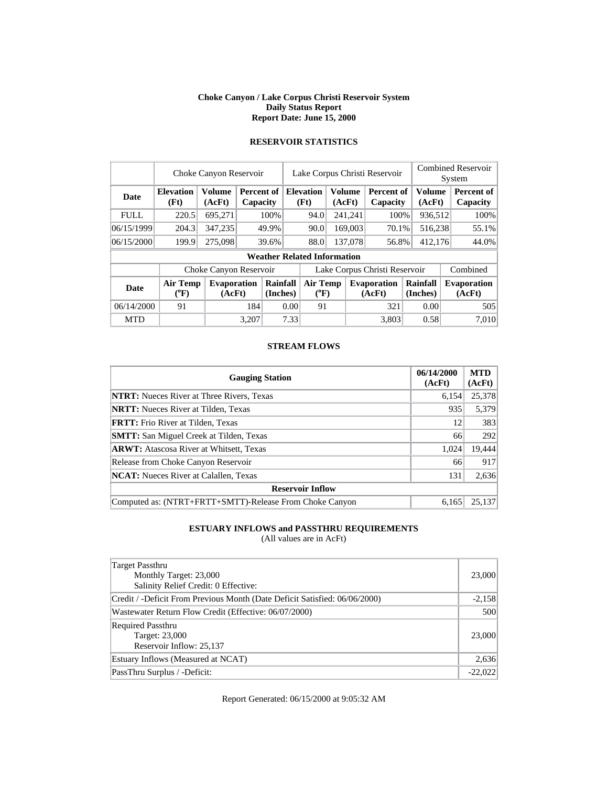#### **Choke Canyon / Lake Corpus Christi Reservoir System Daily Status Report Report Date: June 15, 2000**

|             | Choke Canyon Reservoir   | Lake Corpus Christi Reservoir |                        |                      |                       |                                    |        | <b>Combined Reservoir</b><br>System |                               |  |                         |  |                              |
|-------------|--------------------------|-------------------------------|------------------------|----------------------|-----------------------|------------------------------------|--------|-------------------------------------|-------------------------------|--|-------------------------|--|------------------------------|
| Date        | <b>Elevation</b><br>(Ft) | <b>Volume</b><br>(AcFt)       | Percent of<br>Capacity |                      |                       | <b>Elevation</b><br>(Ft)           | (AcFt) | <b>Volume</b>                       | Percent of<br>Capacity        |  | <b>Volume</b><br>(AcFt) |  | Percent of<br>Capacity       |
| <b>FULL</b> | 220.5                    | 695,271                       |                        | 100%                 |                       | 94.0                               |        | 241,241                             | 100%                          |  | 936,512                 |  | 100%                         |
| 06/15/1999  | 204.3                    | 347,235                       | 49.9%                  |                      |                       | 90.0                               |        | 169,003                             | 70.1%                         |  | 516,238                 |  | 55.1%                        |
| 06/15/2000  | 199.9                    | 275,098                       |                        | 39.6%                |                       | 88.0                               |        | 137,078                             | 56.8%                         |  | 412,176                 |  | 44.0%                        |
|             |                          |                               |                        |                      |                       | <b>Weather Related Information</b> |        |                                     |                               |  |                         |  |                              |
|             |                          | Choke Canyon Reservoir        |                        |                      |                       |                                    |        |                                     | Lake Corpus Christi Reservoir |  |                         |  | Combined                     |
| <b>Date</b> | Air Temp<br>$(^oF)$      | <b>Evaporation</b><br>(AcFt)  |                        | Rainfall<br>(Inches) | Air Temp<br>$(^{0}F)$ |                                    |        |                                     | <b>Evaporation</b><br>(AcFt)  |  | Rainfall<br>(Inches)    |  | <b>Evaporation</b><br>(AcFt) |
| 06/14/2000  | 91                       |                               | 184                    | 0.00                 |                       |                                    | 91     |                                     | 321                           |  | 0.00                    |  | 505                          |
| <b>MTD</b>  |                          |                               | 3,207                  |                      | 7.33                  |                                    |        |                                     | 3.803                         |  | 0.58                    |  | 7.010                        |

## **RESERVOIR STATISTICS**

#### **STREAM FLOWS**

| <b>Gauging Station</b>                                  | 06/14/2000<br>(AcFt) | <b>MTD</b><br>(AcFt) |
|---------------------------------------------------------|----------------------|----------------------|
| <b>NTRT:</b> Nueces River at Three Rivers, Texas        | 6,154                | 25,378               |
| <b>NRTT:</b> Nueces River at Tilden, Texas              | 935                  | 5,379                |
| <b>FRTT:</b> Frio River at Tilden, Texas                | 12                   | 383                  |
| <b>SMTT:</b> San Miguel Creek at Tilden, Texas          | 66                   | 292                  |
| <b>ARWT:</b> Atascosa River at Whitsett, Texas          | 1,024                | 19,444               |
| Release from Choke Canyon Reservoir                     | 66                   | 917                  |
| <b>NCAT:</b> Nueces River at Calallen, Texas            | 131                  | 2,636                |
| <b>Reservoir Inflow</b>                                 |                      |                      |
| Computed as: (NTRT+FRTT+SMTT)-Release From Choke Canyon | 6.165                | 25,137               |

## **ESTUARY INFLOWS and PASSTHRU REQUIREMENTS**

(All values are in AcFt)

| Target Passthru<br>Monthly Target: 23,000<br>Salinity Relief Credit: 0 Effective: | 23,000    |
|-----------------------------------------------------------------------------------|-----------|
| Credit / -Deficit From Previous Month (Date Deficit Satisfied: 06/06/2000)        | $-2,158$  |
| Wastewater Return Flow Credit (Effective: 06/07/2000)                             | 500       |
| <b>Required Passthru</b><br>Target: 23,000<br>Reservoir Inflow: 25,137            | 23,000    |
| Estuary Inflows (Measured at NCAT)                                                | 2,636     |
| PassThru Surplus / -Deficit:                                                      | $-22,022$ |

Report Generated: 06/15/2000 at 9:05:32 AM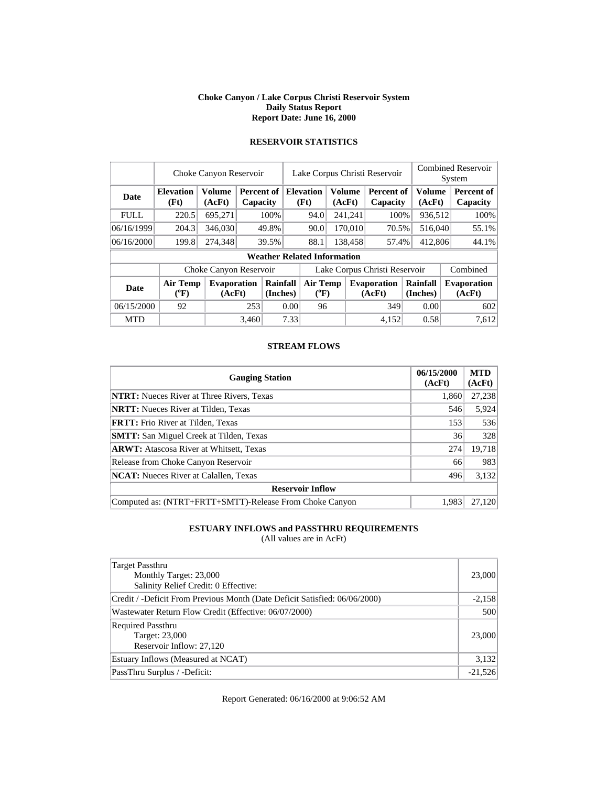#### **Choke Canyon / Lake Corpus Christi Reservoir System Daily Status Report Report Date: June 16, 2000**

|             | Choke Canyon Reservoir     | Lake Corpus Christi Reservoir |                                   |             |                                  |                                    |  | <b>Combined Reservoir</b><br>System |                               |  |                      |  |                               |
|-------------|----------------------------|-------------------------------|-----------------------------------|-------------|----------------------------------|------------------------------------|--|-------------------------------------|-------------------------------|--|----------------------|--|-------------------------------|
| Date        | <b>Elevation</b><br>(Ft)   | <b>Volume</b><br>(AcFt)       | <b>Percent of</b><br>Capacity     |             |                                  | <b>Elevation</b><br>(Ft)           |  | <b>Volume</b><br>(AcFt)             | <b>Percent of</b><br>Capacity |  | Volume<br>(AcFt)     |  | <b>Percent of</b><br>Capacity |
| <b>FULL</b> | 220.5                      | 695,271                       |                                   | 100%        |                                  | 94.0                               |  | 241,241                             | 100%                          |  | 936,512              |  | 100%                          |
| 06/16/1999  | 204.3                      | 346,030                       | 170,010<br>49.8%<br>90.0<br>70.5% |             |                                  | 516,040                            |  | 55.1%                               |                               |  |                      |  |                               |
| 06/16/2000  | 199.8                      | 274,348                       |                                   | 39.5%       |                                  | 88.1<br>138,458<br>57.4%           |  |                                     | 412,806                       |  | 44.1%                |  |                               |
|             |                            |                               |                                   |             |                                  | <b>Weather Related Information</b> |  |                                     |                               |  |                      |  |                               |
|             |                            | Choke Canyon Reservoir        |                                   |             |                                  |                                    |  |                                     | Lake Corpus Christi Reservoir |  |                      |  | Combined                      |
| <b>Date</b> | <b>Air Temp</b><br>$(^oF)$ | <b>Evaporation</b><br>(AcFt)  | Rainfall<br>(Inches)              |             | Air Temp<br>$(^{\circ}\text{F})$ |                                    |  |                                     | <b>Evaporation</b><br>(AcFt)  |  | Rainfall<br>(Inches) |  | <b>Evaporation</b><br>(AcFt)  |
| 06/15/2000  | 92                         |                               |                                   | 253<br>0.00 |                                  | 96                                 |  |                                     | 349                           |  | 0.00                 |  | 602                           |
| <b>MTD</b>  |                            |                               | 3.460                             |             | 7.33                             |                                    |  |                                     | 4,152                         |  | 0.58                 |  | 7.612                         |

## **RESERVOIR STATISTICS**

#### **STREAM FLOWS**

| <b>Gauging Station</b>                                  | 06/15/2000<br>(AcFt) | <b>MTD</b><br>(AcFt) |
|---------------------------------------------------------|----------------------|----------------------|
| <b>NTRT:</b> Nueces River at Three Rivers, Texas        | 1,860                | 27,238               |
| <b>NRTT:</b> Nueces River at Tilden, Texas              | 546                  | 5,924                |
| <b>FRTT:</b> Frio River at Tilden, Texas                | 153                  | 536                  |
| <b>SMTT:</b> San Miguel Creek at Tilden, Texas          | 36                   | 328                  |
| <b>ARWT:</b> Atascosa River at Whitsett, Texas          | 274                  | 19,718               |
| Release from Choke Canyon Reservoir                     | 66                   | 983                  |
| <b>NCAT:</b> Nueces River at Calallen, Texas            | 496                  | 3,132                |
| <b>Reservoir Inflow</b>                                 |                      |                      |
| Computed as: (NTRT+FRTT+SMTT)-Release From Choke Canyon | 1,983                | 27,120               |

## **ESTUARY INFLOWS and PASSTHRU REQUIREMENTS**

(All values are in AcFt)

| Target Passthru<br>Monthly Target: 23,000<br>Salinity Relief Credit: 0 Effective: | 23,000    |
|-----------------------------------------------------------------------------------|-----------|
| Credit / -Deficit From Previous Month (Date Deficit Satisfied: 06/06/2000)        | $-2,158$  |
| Wastewater Return Flow Credit (Effective: 06/07/2000)                             | 500       |
| <b>Required Passthru</b><br>Target: 23,000<br>Reservoir Inflow: 27,120            | 23,000    |
| Estuary Inflows (Measured at NCAT)                                                | 3,132     |
| PassThru Surplus / -Deficit:                                                      | $-21,526$ |

Report Generated: 06/16/2000 at 9:06:52 AM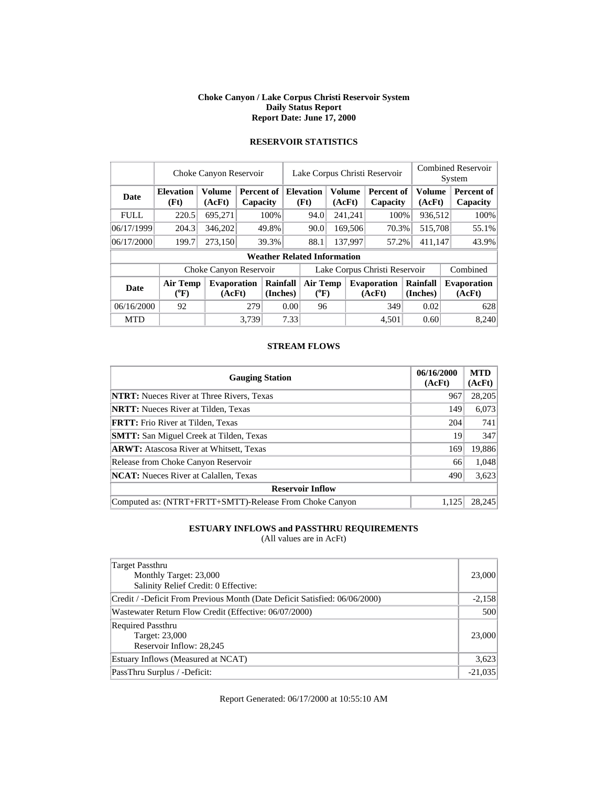#### **Choke Canyon / Lake Corpus Christi Reservoir System Daily Status Report Report Date: June 17, 2000**

|             | Choke Canyon Reservoir   |                              | Lake Corpus Christi Reservoir |                                    |                               |                          |        | <b>Combined Reservoir</b><br>System |                              |          |                                                      |  |                        |
|-------------|--------------------------|------------------------------|-------------------------------|------------------------------------|-------------------------------|--------------------------|--------|-------------------------------------|------------------------------|----------|------------------------------------------------------|--|------------------------|
| Date        | <b>Elevation</b><br>(Ft) | <b>Volume</b><br>(AcFt)      | Percent of<br>Capacity        |                                    |                               | <b>Elevation</b><br>(Ft) | (AcFt) | <b>Volume</b>                       | Percent of<br>Capacity       |          | <b>Volume</b><br>(AcFt)                              |  | Percent of<br>Capacity |
| <b>FULL</b> | 220.5                    | 695,271                      |                               | 100%                               |                               | 94.0                     |        | 241,241                             | 100%                         |          | 936,512                                              |  | 100%                   |
| 06/17/1999  | 204.3                    | 346,202                      |                               | 49.8%                              |                               | 90.0                     |        | 169,506                             | 70.3%                        |          | 515,708                                              |  | 55.1%                  |
| 06/17/2000  | 199.7                    | 273,150                      |                               | 39.3%                              |                               | 88.1                     |        | 137,997                             | 57.2%                        |          | 411,147                                              |  | 43.9%                  |
|             |                          |                              |                               | <b>Weather Related Information</b> |                               |                          |        |                                     |                              |          |                                                      |  |                        |
|             |                          | Choke Canyon Reservoir       |                               |                                    | Lake Corpus Christi Reservoir |                          |        |                                     |                              | Combined |                                                      |  |                        |
| <b>Date</b> | Air Temp<br>$(^{0}F)$    | <b>Evaporation</b><br>(AcFt) |                               | Rainfall<br>(Inches)               |                               | Air Temp<br>$(^{0}F)$    |        |                                     | <b>Evaporation</b><br>(AcFt) |          | Rainfall<br><b>Evaporation</b><br>(Inches)<br>(AcFt) |  |                        |
| 06/16/2000  | 92                       |                              | 279                           |                                    | 0.00                          | 96                       |        |                                     | 349                          |          | 0.02                                                 |  | 628                    |
| <b>MTD</b>  |                          |                              | 3.739                         |                                    | 7.33                          |                          |        |                                     | 4.501                        |          | 0.60                                                 |  | 8,240                  |

## **RESERVOIR STATISTICS**

#### **STREAM FLOWS**

| <b>Gauging Station</b>                                  | 06/16/2000<br>(AcFt) | <b>MTD</b><br>(AcFt) |
|---------------------------------------------------------|----------------------|----------------------|
| <b>NTRT:</b> Nueces River at Three Rivers, Texas        | 967                  | 28,205               |
| <b>NRTT:</b> Nueces River at Tilden, Texas              | 149                  | 6,073                |
| <b>FRTT:</b> Frio River at Tilden, Texas                | 204                  | 741                  |
| <b>SMTT:</b> San Miguel Creek at Tilden, Texas          | 19                   | 347                  |
| <b>ARWT:</b> Atascosa River at Whitsett, Texas          | 169                  | 19,886               |
| Release from Choke Canyon Reservoir                     | 66                   | 1,048                |
| <b>NCAT:</b> Nueces River at Calallen, Texas            | 490                  | 3,623                |
| <b>Reservoir Inflow</b>                                 |                      |                      |
| Computed as: (NTRT+FRTT+SMTT)-Release From Choke Canyon | 1.125                | 28.245               |

## **ESTUARY INFLOWS and PASSTHRU REQUIREMENTS**

(All values are in AcFt)

| Target Passthru<br>Monthly Target: 23,000<br>Salinity Relief Credit: 0 Effective: | 23,000    |
|-----------------------------------------------------------------------------------|-----------|
| Credit / -Deficit From Previous Month (Date Deficit Satisfied: 06/06/2000)        | $-2,158$  |
| Wastewater Return Flow Credit (Effective: 06/07/2000)                             | 500       |
| <b>Required Passthru</b><br>Target: 23,000<br>Reservoir Inflow: 28,245            | 23,000    |
| Estuary Inflows (Measured at NCAT)                                                | 3,623     |
| PassThru Surplus / -Deficit:                                                      | $-21,035$ |

Report Generated: 06/17/2000 at 10:55:10 AM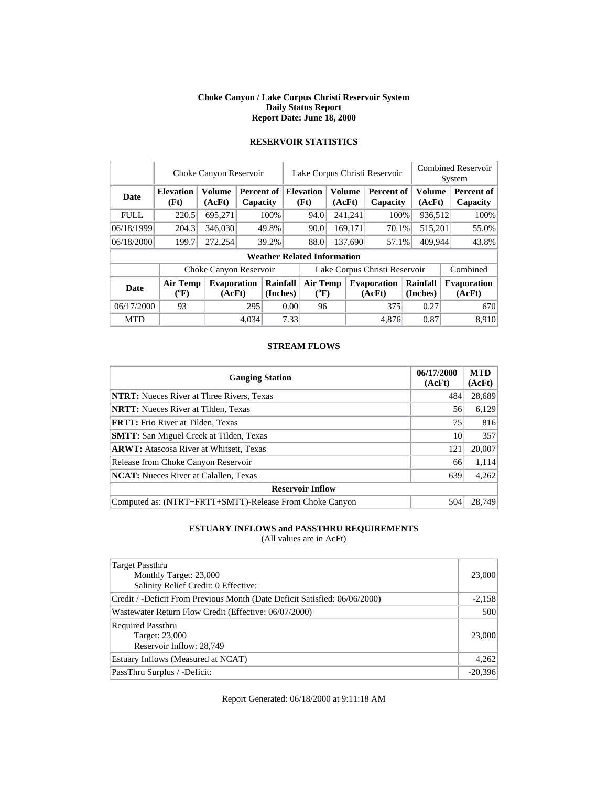#### **Choke Canyon / Lake Corpus Christi Reservoir System Daily Status Report Report Date: June 18, 2000**

|             | Choke Canyon Reservoir       |                              |       |                        |      | Lake Corpus Christi Reservoir                |  | <b>Combined Reservoir</b><br>System |                               |                      |                  |  |                              |
|-------------|------------------------------|------------------------------|-------|------------------------|------|----------------------------------------------|--|-------------------------------------|-------------------------------|----------------------|------------------|--|------------------------------|
| Date        | <b>Elevation</b><br>(Ft)     | <b>Volume</b><br>(AcFt)      |       | Percent of<br>Capacity |      | <b>Elevation</b><br>Volume<br>(Ft)<br>(AcFt) |  |                                     | Percent of<br>Capacity        |                      | Volume<br>(AcFt) |  | Percent of<br>Capacity       |
| <b>FULL</b> | 220.5                        | 695,271                      |       | 100%                   |      | 94.0                                         |  | 241,241                             | 100%                          |                      | 936,512          |  | 100%                         |
| 06/18/1999  | 204.3                        | 346,030                      |       | 49.8%                  |      | 90.0                                         |  | 169,171                             | 70.1%                         |                      | 515,201          |  | 55.0%                        |
| 06/18/2000  | 199.7                        | 272,254                      | 39.2% |                        |      | 88.0                                         |  | 137,690                             | 57.1%                         |                      | 409.944          |  | 43.8%                        |
|             |                              |                              |       |                        |      | <b>Weather Related Information</b>           |  |                                     |                               |                      |                  |  |                              |
|             |                              | Choke Canyon Reservoir       |       |                        |      |                                              |  |                                     | Lake Corpus Christi Reservoir |                      |                  |  | Combined                     |
| <b>Date</b> | <b>Air Temp</b><br>$(^{0}F)$ | <b>Evaporation</b><br>(AcFt) |       | Rainfall<br>(Inches)   |      | Air Temp<br>$(^{0}F)$                        |  |                                     | <b>Evaporation</b><br>(AcFt)  | Rainfall<br>(Inches) |                  |  | <b>Evaporation</b><br>(AcFt) |
| 06/17/2000  | 93                           |                              | 295   |                        | 0.00 | 96                                           |  |                                     | 375                           |                      | 0.27             |  | 670                          |
| <b>MTD</b>  |                              |                              | 4.034 |                        | 7.33 |                                              |  |                                     | 4.876                         |                      | 0.87             |  | 8,910                        |

## **RESERVOIR STATISTICS**

#### **STREAM FLOWS**

| <b>Gauging Station</b>                                  | 06/17/2000<br>(AcFt) | <b>MTD</b><br>(AcFt) |
|---------------------------------------------------------|----------------------|----------------------|
| <b>NTRT:</b> Nueces River at Three Rivers, Texas        | 484                  | 28,689               |
| <b>NRTT:</b> Nueces River at Tilden, Texas              | 56                   | 6,129                |
| <b>FRTT:</b> Frio River at Tilden, Texas                | 75                   | 816                  |
| <b>SMTT:</b> San Miguel Creek at Tilden, Texas          | 10                   | 357                  |
| <b>ARWT:</b> Atascosa River at Whitsett, Texas          | 121                  | 20,007               |
| Release from Choke Canyon Reservoir                     | 66                   | 1,114                |
| <b>NCAT:</b> Nueces River at Calallen, Texas            | 639                  | 4,262                |
| <b>Reservoir Inflow</b>                                 |                      |                      |
| Computed as: (NTRT+FRTT+SMTT)-Release From Choke Canyon | 504                  | 28,749               |

## **ESTUARY INFLOWS and PASSTHRU REQUIREMENTS**

(All values are in AcFt)

| Target Passthru<br>Monthly Target: 23,000<br>Salinity Relief Credit: 0 Effective: | 23,000    |
|-----------------------------------------------------------------------------------|-----------|
| Credit / -Deficit From Previous Month (Date Deficit Satisfied: 06/06/2000)        | $-2,158$  |
| Wastewater Return Flow Credit (Effective: 06/07/2000)                             | 500       |
| <b>Required Passthru</b><br>Target: 23,000<br>Reservoir Inflow: 28,749            | 23,000    |
| Estuary Inflows (Measured at NCAT)                                                | 4,262     |
| PassThru Surplus / -Deficit:                                                      | $-20,396$ |

Report Generated: 06/18/2000 at 9:11:18 AM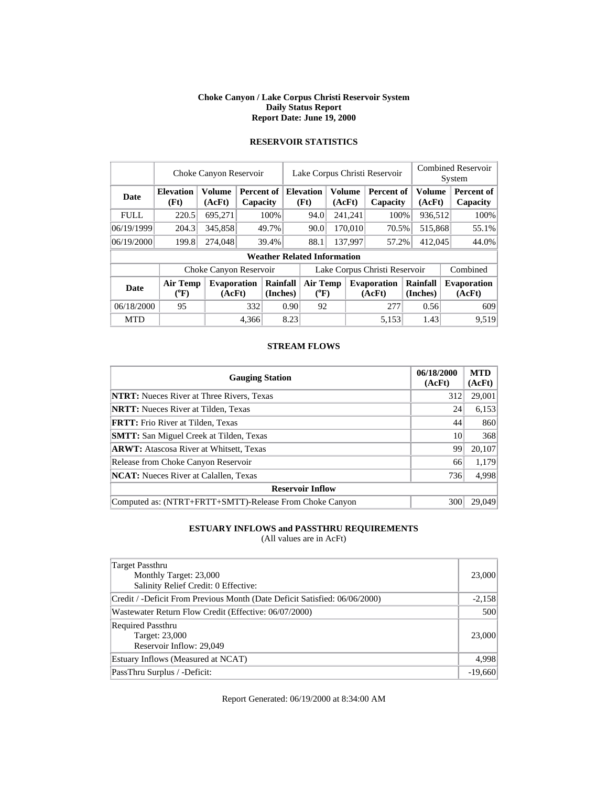#### **Choke Canyon / Lake Corpus Christi Reservoir System Daily Status Report Report Date: June 19, 2000**

|             | Choke Canyon Reservoir   |                              |                        |                      |      | Lake Corpus Christi Reservoir      |                                                     | <b>Combined Reservoir</b><br>System |                              |         |                        |  |                              |  |                        |
|-------------|--------------------------|------------------------------|------------------------|----------------------|------|------------------------------------|-----------------------------------------------------|-------------------------------------|------------------------------|---------|------------------------|--|------------------------------|--|------------------------|
| Date        | <b>Elevation</b><br>(Ft) | <b>Volume</b><br>(AcFt)      | Percent of<br>Capacity |                      |      |                                    | <b>Volume</b><br><b>Elevation</b><br>(Ft)<br>(AcFt) |                                     |                              |         | Percent of<br>Capacity |  | <b>Volume</b><br>(AcFt)      |  | Percent of<br>Capacity |
| <b>FULL</b> | 220.5                    | 695,271                      |                        | 100%                 |      | 94.0                               |                                                     | 241,241                             | 100%                         |         | 936,512                |  | 100%                         |  |                        |
| 06/19/1999  | 204.3                    | 345,858                      |                        | 49.7%                |      | 90.0                               |                                                     | 170,010                             | 70.5%                        |         | 515,868                |  | 55.1%                        |  |                        |
| 06/19/2000  | 199.8                    | 274,048                      |                        | 39.4%                |      |                                    |                                                     | 88.1                                |                              | 137.997 | 57.2%                  |  | 412,045                      |  | 44.0%                  |
|             |                          |                              |                        |                      |      | <b>Weather Related Information</b> |                                                     |                                     |                              |         |                        |  |                              |  |                        |
|             |                          | Choke Canyon Reservoir       |                        |                      |      | Lake Corpus Christi Reservoir      |                                                     |                                     |                              |         | Combined               |  |                              |  |                        |
| <b>Date</b> | Air Temp<br>$(^{0}F)$    | <b>Evaporation</b><br>(AcFt) |                        | Rainfall<br>(Inches) |      | Air Temp<br>$(^{0}F)$              |                                                     |                                     | <b>Evaporation</b><br>(AcFt) |         | Rainfall<br>(Inches)   |  | <b>Evaporation</b><br>(AcFt) |  |                        |
| 06/18/2000  | 95                       |                              | 332                    |                      | 0.90 | 92                                 |                                                     |                                     | 277                          |         | 0.56                   |  | 609                          |  |                        |
| <b>MTD</b>  |                          |                              | 4,366                  |                      | 8.23 |                                    |                                                     |                                     | 5,153                        |         | 1.43                   |  | 9,519                        |  |                        |

## **RESERVOIR STATISTICS**

#### **STREAM FLOWS**

| <b>Gauging Station</b>                                  | 06/18/2000<br>(AcFt) | <b>MTD</b><br>(AcFt) |
|---------------------------------------------------------|----------------------|----------------------|
| <b>NTRT:</b> Nueces River at Three Rivers, Texas        | 312                  | 29,001               |
| <b>NRTT:</b> Nueces River at Tilden, Texas              | 24                   | 6,153                |
| <b>FRTT:</b> Frio River at Tilden, Texas                | 44                   | 860                  |
| <b>SMTT:</b> San Miguel Creek at Tilden, Texas          | 10                   | 368                  |
| <b>ARWT:</b> Atascosa River at Whitsett, Texas          | 99                   | 20,107               |
| Release from Choke Canyon Reservoir                     | 66                   | 1,179                |
| <b>NCAT:</b> Nueces River at Calallen, Texas            | 736                  | 4,998                |
| <b>Reservoir Inflow</b>                                 |                      |                      |
| Computed as: (NTRT+FRTT+SMTT)-Release From Choke Canyon | 300                  | 29,049               |

## **ESTUARY INFLOWS and PASSTHRU REQUIREMENTS**

(All values are in AcFt)

| Target Passthru<br>Monthly Target: 23,000<br>Salinity Relief Credit: 0 Effective: | 23,000    |
|-----------------------------------------------------------------------------------|-----------|
| Credit / -Deficit From Previous Month (Date Deficit Satisfied: 06/06/2000)        | $-2,158$  |
| Wastewater Return Flow Credit (Effective: 06/07/2000)                             | 500       |
| <b>Required Passthru</b><br>Target: 23,000<br>Reservoir Inflow: 29,049            | 23,000    |
| Estuary Inflows (Measured at NCAT)                                                | 4,998     |
| PassThru Surplus / -Deficit:                                                      | $-19,660$ |

Report Generated: 06/19/2000 at 8:34:00 AM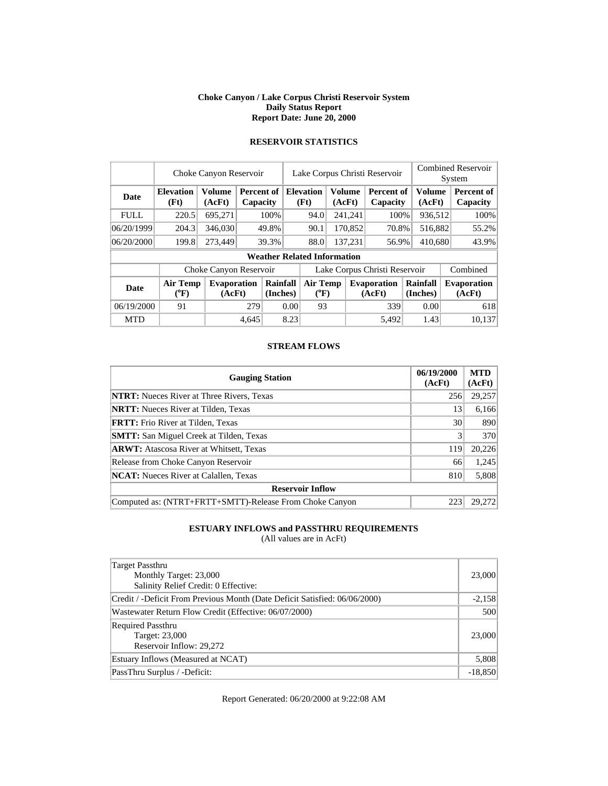#### **Choke Canyon / Lake Corpus Christi Reservoir System Daily Status Report Report Date: June 20, 2000**

|             | Choke Canyon Reservoir   |                              | Lake Corpus Christi Reservoir |                        |      |                                    |  | <b>Combined Reservoir</b><br>System |                               |                      |                               |  |                              |  |                        |
|-------------|--------------------------|------------------------------|-------------------------------|------------------------|------|------------------------------------|--|-------------------------------------|-------------------------------|----------------------|-------------------------------|--|------------------------------|--|------------------------|
| Date        | <b>Elevation</b><br>(Ft) | <b>Volume</b><br>(AcFt)      |                               | Percent of<br>Capacity |      |                                    |  | <b>Elevation</b><br>(Ft)            | (AcFt)                        | <b>Volume</b>        | <b>Percent of</b><br>Capacity |  | Volume<br>(AcFt)             |  | Percent of<br>Capacity |
| <b>FULL</b> | 220.5                    | 695,271                      |                               | 100%                   |      | 94.0                               |  | 241,241                             | 100%                          |                      | 936,512                       |  | 100%                         |  |                        |
| 06/20/1999  | 204.3                    | 346,030                      | 49.8%                         |                        |      | 170,852<br>90.1<br>70.8%           |  |                                     | 516,882                       |                      | 55.2%                         |  |                              |  |                        |
| 06/20/2000  | 199.8                    | 273.449                      | 39.3%                         |                        |      | 88.0                               |  | 137,231                             | 56.9%                         | 410,680              |                               |  | 43.9%                        |  |                        |
|             |                          |                              |                               |                        |      | <b>Weather Related Information</b> |  |                                     |                               |                      |                               |  |                              |  |                        |
|             |                          | Choke Canyon Reservoir       |                               |                        |      |                                    |  |                                     | Lake Corpus Christi Reservoir |                      |                               |  | Combined                     |  |                        |
| Date        | Air Temp<br>$(^{0}F)$    | <b>Evaporation</b><br>(AcFt) | Rainfall<br>(Inches)          |                        |      | <b>Air Temp</b><br>$(^oF)$         |  |                                     | <b>Evaporation</b><br>(AcFt)  | Rainfall<br>(Inches) |                               |  | <b>Evaporation</b><br>(AcFt) |  |                        |
| 06/19/2000  | 91                       |                              | 279                           |                        |      | 93<br>0.00                         |  |                                     | 339                           |                      | 0.00                          |  | 618                          |  |                        |
| <b>MTD</b>  |                          |                              | 4.645                         |                        | 8.23 |                                    |  |                                     | 5.492                         |                      | 1.43                          |  | 10.137                       |  |                        |

## **RESERVOIR STATISTICS**

#### **STREAM FLOWS**

| <b>Gauging Station</b>                                  | 06/19/2000<br>(AcFt) | <b>MTD</b><br>(AcFt) |
|---------------------------------------------------------|----------------------|----------------------|
| <b>NTRT:</b> Nueces River at Three Rivers, Texas        | 256                  | 29,257               |
| <b>NRTT:</b> Nueces River at Tilden, Texas              | 13                   | 6,166                |
| <b>FRTT:</b> Frio River at Tilden, Texas                | 30                   | 890                  |
| <b>SMTT:</b> San Miguel Creek at Tilden, Texas          | 3                    | 370                  |
| <b>ARWT:</b> Atascosa River at Whitsett, Texas          | 119                  | 20,226               |
| Release from Choke Canyon Reservoir                     | 66                   | 1,245                |
| <b>NCAT:</b> Nueces River at Calallen, Texas            | 810                  | 5,808                |
| <b>Reservoir Inflow</b>                                 |                      |                      |
| Computed as: (NTRT+FRTT+SMTT)-Release From Choke Canyon | 223                  | 29,272               |

## **ESTUARY INFLOWS and PASSTHRU REQUIREMENTS**

(All values are in AcFt)

| Target Passthru<br>Monthly Target: 23,000<br>Salinity Relief Credit: 0 Effective: | 23,000    |
|-----------------------------------------------------------------------------------|-----------|
| Credit / -Deficit From Previous Month (Date Deficit Satisfied: 06/06/2000)        | $-2,158$  |
| Wastewater Return Flow Credit (Effective: 06/07/2000)                             | 500       |
| <b>Required Passthru</b><br>Target: 23,000<br>Reservoir Inflow: 29,272            | 23,000    |
| Estuary Inflows (Measured at NCAT)                                                | 5,808     |
| PassThru Surplus / -Deficit:                                                      | $-18,850$ |

Report Generated: 06/20/2000 at 9:22:08 AM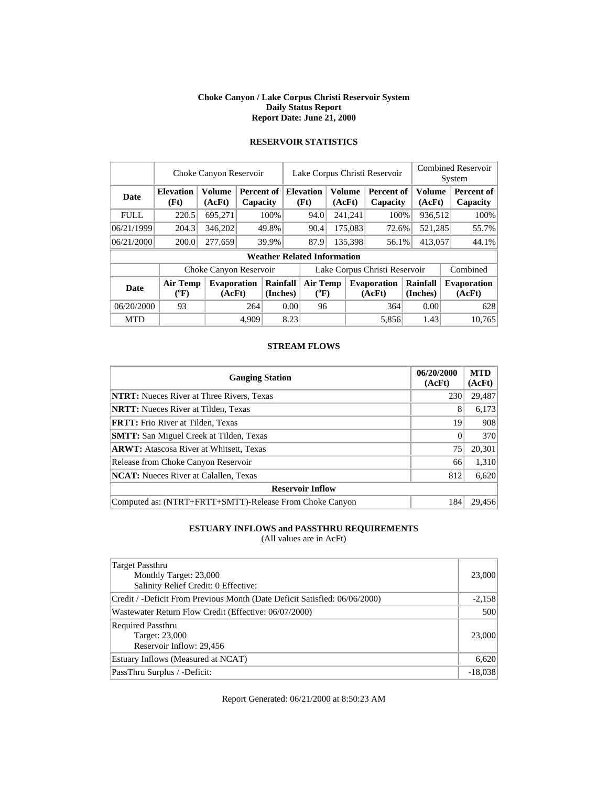#### **Choke Canyon / Lake Corpus Christi Reservoir System Daily Status Report Report Date: June 21, 2000**

|             | Choke Canyon Reservoir   | Lake Corpus Christi Reservoir |                        |                      |      |                                    |         | <b>Combined Reservoir</b><br>System               |                               |                      |                         |  |                              |
|-------------|--------------------------|-------------------------------|------------------------|----------------------|------|------------------------------------|---------|---------------------------------------------------|-------------------------------|----------------------|-------------------------|--|------------------------------|
| Date        | <b>Elevation</b><br>(Ft) | <b>Volume</b><br>(AcFt)       | Percent of<br>Capacity |                      |      | <b>Elevation</b><br>(Ft)           |         | <b>Volume</b><br>Percent of<br>(AcFt)<br>Capacity |                               |                      | <b>Volume</b><br>(AcFt) |  | Percent of<br>Capacity       |
| <b>FULL</b> | 220.5                    | 695,271                       |                        | 100%                 |      | 94.0                               |         | 241,241                                           | 100%                          |                      | 936,512                 |  | 100%                         |
| 06/21/1999  | 204.3                    | 346,202                       |                        | 49.8%                |      | 90.4                               | 175,083 |                                                   | 72.6%                         | 521,285              |                         |  | 55.7%                        |
| 06/21/2000  | 200.0                    | 277,659                       |                        | 39.9%                |      | 87.9                               | 135,398 |                                                   | 56.1%                         | 413,057              |                         |  | 44.1%                        |
|             |                          |                               |                        |                      |      | <b>Weather Related Information</b> |         |                                                   |                               |                      |                         |  |                              |
|             |                          | Choke Canyon Reservoir        |                        |                      |      |                                    |         |                                                   | Lake Corpus Christi Reservoir |                      |                         |  | Combined                     |
| <b>Date</b> | Air Temp<br>$(^{0}F)$    | <b>Evaporation</b><br>(AcFt)  |                        | Rainfall<br>(Inches) |      | Air Temp<br>$(^{0}F)$              |         |                                                   | <b>Evaporation</b><br>(AcFt)  | Rainfall<br>(Inches) |                         |  | <b>Evaporation</b><br>(AcFt) |
| 06/20/2000  | 93                       |                               | 264                    | 0.00                 |      | 96                                 |         |                                                   | 364                           |                      | 0.00                    |  | 628                          |
| <b>MTD</b>  |                          |                               | 4.909                  |                      | 8.23 |                                    |         |                                                   | 5,856                         |                      | 1.43                    |  | 10.765                       |

## **RESERVOIR STATISTICS**

#### **STREAM FLOWS**

| <b>Gauging Station</b>                                  | 06/20/2000<br>(AcFt) | <b>MTD</b><br>(AcFt) |
|---------------------------------------------------------|----------------------|----------------------|
| <b>NTRT:</b> Nueces River at Three Rivers, Texas        | 230                  | 29,487               |
| <b>NRTT:</b> Nueces River at Tilden, Texas              | 8                    | 6,173                |
| <b>FRTT:</b> Frio River at Tilden, Texas                | 19                   | 908                  |
| <b>SMTT:</b> San Miguel Creek at Tilden, Texas          | $\Omega$             | 370                  |
| <b>ARWT:</b> Atascosa River at Whitsett, Texas          | 75                   | 20,301               |
| Release from Choke Canyon Reservoir                     | 66                   | 1,310                |
| <b>NCAT:</b> Nueces River at Calallen, Texas            | 812                  | 6,620                |
| <b>Reservoir Inflow</b>                                 |                      |                      |
| Computed as: (NTRT+FRTT+SMTT)-Release From Choke Canyon | 184                  | 29.456               |

## **ESTUARY INFLOWS and PASSTHRU REQUIREMENTS**

(All values are in AcFt)

| Target Passthru<br>Monthly Target: 23,000<br>Salinity Relief Credit: 0 Effective: | 23,000    |
|-----------------------------------------------------------------------------------|-----------|
| Credit / -Deficit From Previous Month (Date Deficit Satisfied: 06/06/2000)        | $-2,158$  |
| Wastewater Return Flow Credit (Effective: 06/07/2000)                             | 500       |
| <b>Required Passthru</b><br>Target: 23,000<br>Reservoir Inflow: 29,456            | 23,000    |
| Estuary Inflows (Measured at NCAT)                                                | 6,620     |
| PassThru Surplus / -Deficit:                                                      | $-18,038$ |

Report Generated: 06/21/2000 at 8:50:23 AM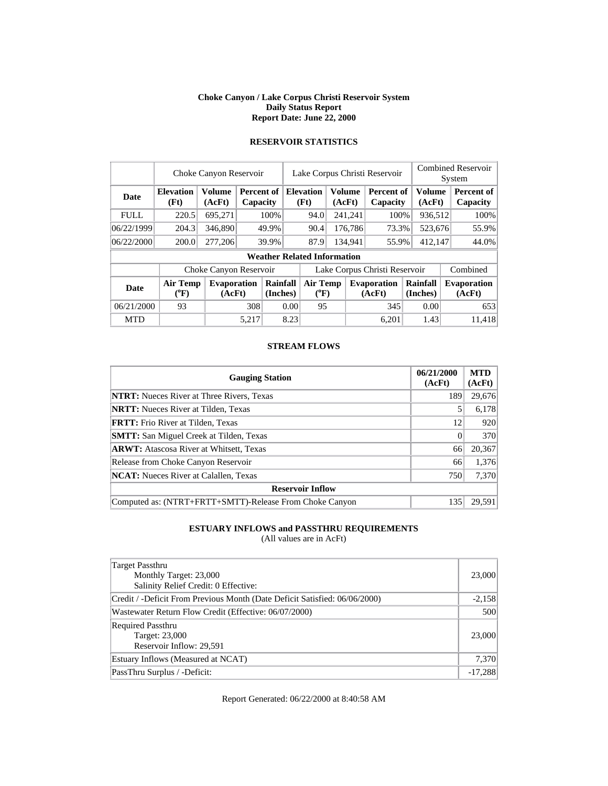#### **Choke Canyon / Lake Corpus Christi Reservoir System Daily Status Report Report Date: June 22, 2000**

|             | Choke Canyon Reservoir       | Lake Corpus Christi Reservoir |                               |                      |      |                                    |  | <b>Combined Reservoir</b><br>System |                               |         |                      |  |                               |  |         |  |       |
|-------------|------------------------------|-------------------------------|-------------------------------|----------------------|------|------------------------------------|--|-------------------------------------|-------------------------------|---------|----------------------|--|-------------------------------|--|---------|--|-------|
| Date        | <b>Elevation</b><br>(Ft)     | <b>Volume</b><br>(AcFt)       | <b>Percent of</b><br>Capacity |                      |      | <b>Elevation</b><br>(Ft)           |  | <b>Volume</b><br>(AcFt)             | <b>Percent of</b><br>Capacity |         | Volume<br>(AcFt)     |  | <b>Percent of</b><br>Capacity |  |         |  |       |
| <b>FULL</b> | 220.5                        | 695,271                       |                               | 100%                 |      | 94.0                               |  | 241,241                             | 100%                          |         | 936,512              |  | 100%                          |  |         |  |       |
| 06/22/1999  | 204.3                        | 346,890                       |                               | 49.9%                |      |                                    |  |                                     |                               | 90.4    | 176,786              |  | 73.3%                         |  | 523,676 |  | 55.9% |
| 06/22/2000  | 200.0                        | 277,206                       |                               | 39.9%                |      |                                    |  | 87.9                                |                               | 134,941 | 55.9%                |  | 412,147                       |  | 44.0%   |  |       |
|             |                              |                               |                               |                      |      | <b>Weather Related Information</b> |  |                                     |                               |         |                      |  |                               |  |         |  |       |
|             |                              | Choke Canyon Reservoir        |                               |                      |      |                                    |  |                                     | Lake Corpus Christi Reservoir |         |                      |  | Combined                      |  |         |  |       |
| <b>Date</b> | <b>Air Temp</b><br>$(^{0}F)$ | <b>Evaporation</b><br>(AcFt)  |                               | Rainfall<br>(Inches) |      | Air Temp<br>$(^{\circ}\text{F})$   |  |                                     | <b>Evaporation</b><br>(AcFt)  |         | Rainfall<br>(Inches) |  | <b>Evaporation</b><br>(AcFt)  |  |         |  |       |
| 06/21/2000  | 93                           |                               |                               | 308<br>0.00          |      | 95                                 |  |                                     | 345                           |         | 0.00                 |  | 653                           |  |         |  |       |
| <b>MTD</b>  |                              |                               | 5,217                         |                      | 8.23 |                                    |  |                                     | 6.201                         |         | 1.43                 |  | 11.418                        |  |         |  |       |

## **RESERVOIR STATISTICS**

#### **STREAM FLOWS**

| <b>Gauging Station</b>                                  | 06/21/2000<br>(AcFt) | <b>MTD</b><br>(AcFt) |
|---------------------------------------------------------|----------------------|----------------------|
| <b>NTRT:</b> Nueces River at Three Rivers, Texas        | 189                  | 29,676               |
| <b>NRTT:</b> Nueces River at Tilden, Texas              |                      | 6,178                |
| <b>FRTT:</b> Frio River at Tilden, Texas                | 12                   | 920                  |
| <b>SMTT:</b> San Miguel Creek at Tilden, Texas          | $\Omega$             | 370                  |
| <b>ARWT:</b> Atascosa River at Whitsett, Texas          | 66                   | 20,367               |
| Release from Choke Canyon Reservoir                     | 66                   | 1,376                |
| <b>NCAT:</b> Nueces River at Calallen, Texas            | 750                  | 7,370                |
| <b>Reservoir Inflow</b>                                 |                      |                      |
| Computed as: (NTRT+FRTT+SMTT)-Release From Choke Canyon | 135                  | 29.591               |

## **ESTUARY INFLOWS and PASSTHRU REQUIREMENTS**

(All values are in AcFt)

| Target Passthru<br>Monthly Target: 23,000<br>Salinity Relief Credit: 0 Effective: | 23,000    |
|-----------------------------------------------------------------------------------|-----------|
| Credit / -Deficit From Previous Month (Date Deficit Satisfied: 06/06/2000)        | $-2,158$  |
| Wastewater Return Flow Credit (Effective: 06/07/2000)                             | 500       |
| <b>Required Passthru</b><br>Target: 23,000<br>Reservoir Inflow: 29,591            | 23,000    |
| Estuary Inflows (Measured at NCAT)                                                | 7,370     |
| PassThru Surplus / -Deficit:                                                      | $-17,288$ |

Report Generated: 06/22/2000 at 8:40:58 AM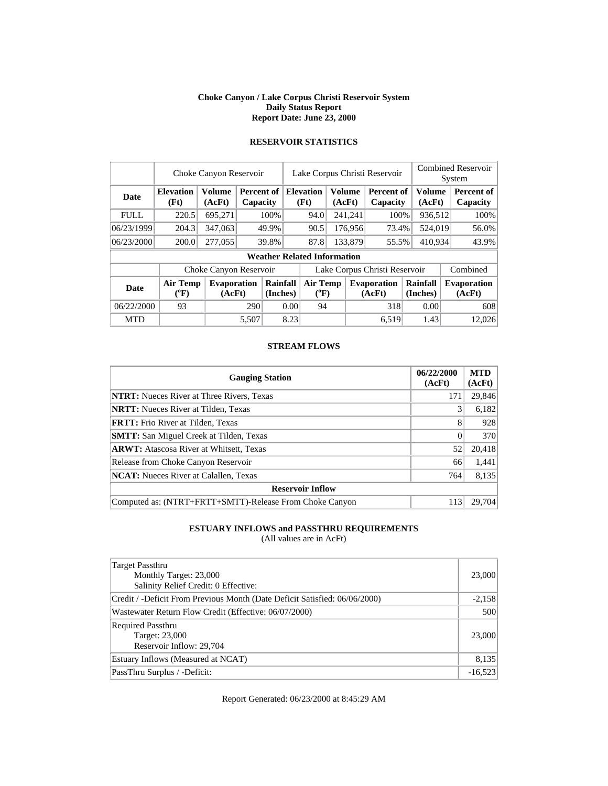#### **Choke Canyon / Lake Corpus Christi Reservoir System Daily Status Report Report Date: June 23, 2000**

|             | Choke Canyon Reservoir   |                              |                               | Lake Corpus Christi Reservoir     |                               | <b>Combined Reservoir</b><br>System |                         |         |                               |                      |  |                              |
|-------------|--------------------------|------------------------------|-------------------------------|-----------------------------------|-------------------------------|-------------------------------------|-------------------------|---------|-------------------------------|----------------------|--|------------------------------|
| Date        | <b>Elevation</b><br>(Ft) | Volume<br>(AcFt)             | <b>Percent of</b><br>Capacity |                                   |                               | <b>Elevation</b><br>(Ft)            | <b>Volume</b><br>(AcFt) |         | <b>Percent of</b><br>Capacity | Volume<br>(AcFt)     |  | Percent of<br>Capacity       |
| <b>FULL</b> | 220.5                    | 695,271                      |                               | 100%                              |                               | 94.0                                |                         | 241,241 | 100%                          | 936,512              |  | 100%                         |
| 06/23/1999  | 204.3                    | 347,063                      |                               | 176,956<br>90.5<br>73.4%<br>49.9% |                               | 524,019                             |                         | 56.0%   |                               |                      |  |                              |
| 06/23/2000  | 200.0                    | 277,055                      | 133.879<br>39.8%<br>87.8      |                                   |                               | 55.5%                               | 410.934                 |         | 43.9%                         |                      |  |                              |
|             |                          |                              |                               |                                   |                               | <b>Weather Related Information</b>  |                         |         |                               |                      |  |                              |
|             |                          | Choke Canyon Reservoir       |                               |                                   | Lake Corpus Christi Reservoir |                                     |                         |         |                               |                      |  | Combined                     |
| Date        | Air Temp<br>$(^{0}F)$    | <b>Evaporation</b><br>(AcFt) |                               | Rainfall<br>(Inches)              |                               | <b>Air Temp</b><br>$(^{0}F)$        |                         |         | <b>Evaporation</b><br>(AcFt)  | Rainfall<br>(Inches) |  | <b>Evaporation</b><br>(AcFt) |
| 06/22/2000  | 93                       |                              |                               | 290<br>0.00                       |                               | 94                                  |                         |         | 318                           | 0.00                 |  | 608                          |
| <b>MTD</b>  |                          |                              | 5.507                         |                                   | 8.23                          |                                     |                         |         | 6.519                         | 1.43                 |  | 12,026                       |

## **RESERVOIR STATISTICS**

#### **STREAM FLOWS**

| <b>Gauging Station</b>                                  | 06/22/2000<br>(AcFt) | <b>MTD</b><br>(AcFt) |
|---------------------------------------------------------|----------------------|----------------------|
| <b>NTRT:</b> Nueces River at Three Rivers, Texas        | 171                  | 29,846               |
| <b>NRTT:</b> Nueces River at Tilden, Texas              | 3                    | 6,182                |
| <b>FRTT:</b> Frio River at Tilden, Texas                | 8                    | 928                  |
| <b>SMTT:</b> San Miguel Creek at Tilden, Texas          | $\Omega$             | 370                  |
| <b>ARWT:</b> Atascosa River at Whitsett, Texas          | 52                   | 20,418               |
| Release from Choke Canyon Reservoir                     | 66                   | 1,441                |
| <b>NCAT:</b> Nueces River at Calallen, Texas            | 764                  | 8,135                |
| <b>Reservoir Inflow</b>                                 |                      |                      |
| Computed as: (NTRT+FRTT+SMTT)-Release From Choke Canyon | 113                  | 29,704               |

## **ESTUARY INFLOWS and PASSTHRU REQUIREMENTS**

(All values are in AcFt)

| Target Passthru<br>Monthly Target: 23,000<br>Salinity Relief Credit: 0 Effective: | 23,000    |
|-----------------------------------------------------------------------------------|-----------|
| Credit / -Deficit From Previous Month (Date Deficit Satisfied: 06/06/2000)        | $-2,158$  |
| Wastewater Return Flow Credit (Effective: 06/07/2000)                             | 500       |
| <b>Required Passthru</b><br>Target: 23,000<br>Reservoir Inflow: 29,704            | 23,000    |
| Estuary Inflows (Measured at NCAT)                                                | 8,135     |
| PassThru Surplus / -Deficit:                                                      | $-16,523$ |

Report Generated: 06/23/2000 at 8:45:29 AM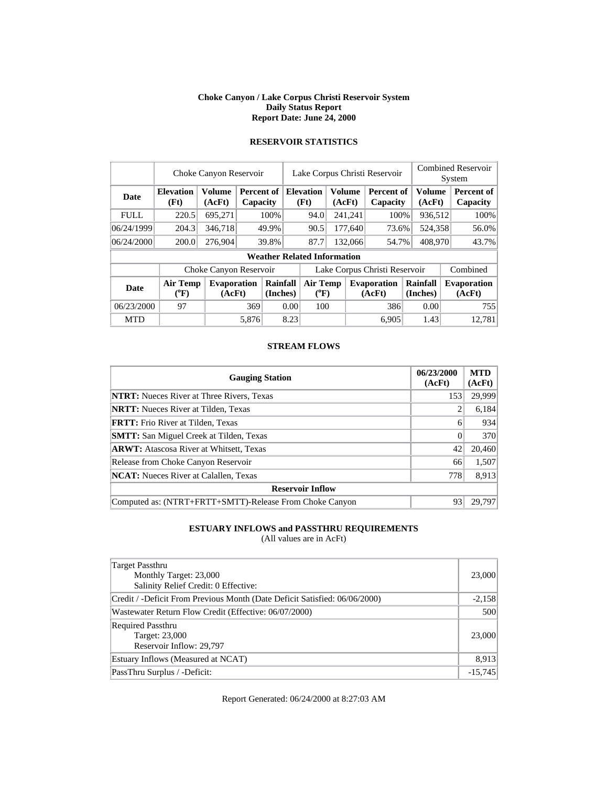#### **Choke Canyon / Lake Corpus Christi Reservoir System Daily Status Report Report Date: June 24, 2000**

|             | Choke Canyon Reservoir   |                              | Lake Corpus Christi Reservoir |                      |      |                                    |  |                         | <b>Combined Reservoir</b><br>System |                      |                         |  |                               |
|-------------|--------------------------|------------------------------|-------------------------------|----------------------|------|------------------------------------|--|-------------------------|-------------------------------------|----------------------|-------------------------|--|-------------------------------|
| Date        | <b>Elevation</b><br>(Ft) | <b>Volume</b><br>(AcFt)      | Percent of<br>Capacity        |                      |      | <b>Elevation</b><br>(Ft)           |  | <b>Volume</b><br>(AcFt) | Percent of<br>Capacity              |                      | <b>Volume</b><br>(AcFt) |  | <b>Percent of</b><br>Capacity |
| <b>FULL</b> | 220.5                    | 695,271                      |                               | 100%                 |      | 94.0                               |  | 241,241                 | 100%                                |                      | 936,512                 |  | 100%                          |
| 06/24/1999  | 204.3                    | 346.718                      |                               | 49.9%                |      | 90.5                               |  | 177,640                 | 73.6%                               |                      | 524,358                 |  | 56.0%                         |
| 06/24/2000  | 200.0                    | 276.904                      |                               | 39.8%                |      | 87.7                               |  | 132,066                 | 54.7%                               |                      | 408,970                 |  | 43.7%                         |
|             |                          |                              |                               |                      |      | <b>Weather Related Information</b> |  |                         |                                     |                      |                         |  |                               |
|             |                          | Choke Canyon Reservoir       |                               |                      |      |                                    |  |                         | Lake Corpus Christi Reservoir       |                      |                         |  | Combined                      |
| <b>Date</b> | Air Temp<br>$(^{0}F)$    | <b>Evaporation</b><br>(AcFt) |                               | Rainfall<br>(Inches) |      | Air Temp<br>$(^{0}F)$              |  |                         | <b>Evaporation</b><br>(AcFt)        | Rainfall<br>(Inches) |                         |  | <b>Evaporation</b><br>(AcFt)  |
| 06/23/2000  | 97                       |                              |                               | 0.00<br>369          |      | 100                                |  |                         | 386                                 |                      | 0.00                    |  | 755                           |
| <b>MTD</b>  |                          |                              | 5,876                         |                      | 8.23 |                                    |  |                         | 6.905                               |                      | 1.43                    |  | 12.781                        |

## **RESERVOIR STATISTICS**

#### **STREAM FLOWS**

| <b>Gauging Station</b>                                  | 06/23/2000<br>(AcFt) | <b>MTD</b><br>(AcFt) |
|---------------------------------------------------------|----------------------|----------------------|
| <b>NTRT:</b> Nueces River at Three Rivers, Texas        | 153                  | 29,999               |
| <b>NRTT:</b> Nueces River at Tilden, Texas              |                      | 6,184                |
| <b>FRTT:</b> Frio River at Tilden, Texas                | 6                    | 934                  |
| <b>SMTT:</b> San Miguel Creek at Tilden, Texas          | $\Omega$             | 370                  |
| <b>ARWT:</b> Atascosa River at Whitsett, Texas          | 42                   | 20,460               |
| Release from Choke Canyon Reservoir                     | 66                   | 1,507                |
| <b>NCAT:</b> Nueces River at Calallen, Texas            | 778                  | 8,913                |
| <b>Reservoir Inflow</b>                                 |                      |                      |
| Computed as: (NTRT+FRTT+SMTT)-Release From Choke Canyon | 93                   | 29.797               |

## **ESTUARY INFLOWS and PASSTHRU REQUIREMENTS**

(All values are in AcFt)

| Target Passthru<br>Monthly Target: 23,000<br>Salinity Relief Credit: 0 Effective: | 23,000    |
|-----------------------------------------------------------------------------------|-----------|
| Credit / -Deficit From Previous Month (Date Deficit Satisfied: 06/06/2000)        | $-2,158$  |
| Wastewater Return Flow Credit (Effective: 06/07/2000)                             | 500       |
| <b>Required Passthru</b><br>Target: 23,000<br>Reservoir Inflow: 29,797            | 23,000    |
| Estuary Inflows (Measured at NCAT)                                                | 8,913     |
| PassThru Surplus / -Deficit:                                                      | $-15,745$ |

Report Generated: 06/24/2000 at 8:27:03 AM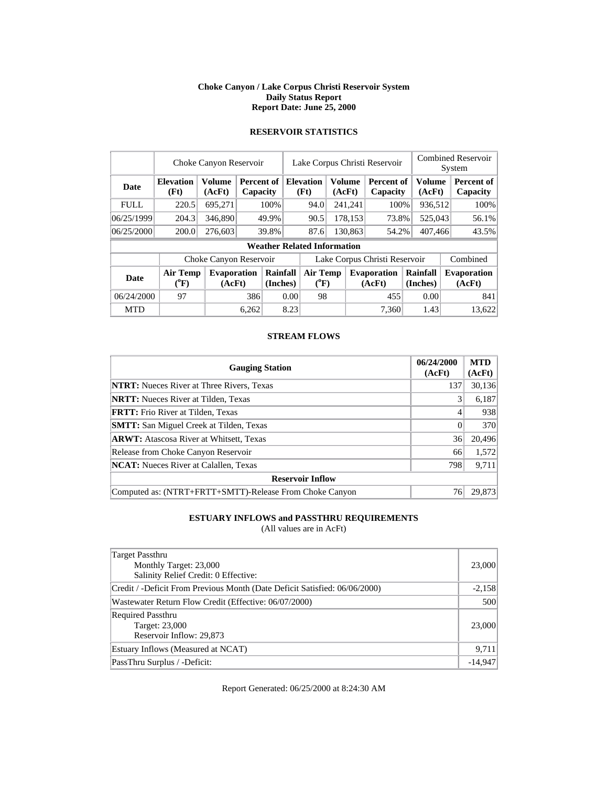#### **Choke Canyon / Lake Corpus Christi Reservoir System Daily Status Report Report Date: June 25, 2000**

|             | Choke Canyon Reservoir | Lake Corpus Christi Reservoir |            |                      |      |                                    |  | <b>Combined Reservoir</b> |             |          |          |  |                    |
|-------------|------------------------|-------------------------------|------------|----------------------|------|------------------------------------|--|---------------------------|-------------|----------|----------|--|--------------------|
|             |                        |                               |            |                      |      |                                    |  |                           |             | System   |          |  |                    |
| Date        | <b>Elevation</b>       | <b>Volume</b>                 | Percent of |                      |      | <b>Elevation</b>                   |  | <b>Volume</b>             | Percent of  |          | Volume   |  | Percent of         |
|             | (Ft)                   | (AcFt)                        | Capacity   |                      |      | (Ft)                               |  | (AcFt)                    | Capacity    |          | (AcFt)   |  | Capacity           |
| <b>FULL</b> | 220.5                  | 695.271                       |            | 100%                 |      | 94.0                               |  | 241,241                   | 100%        |          | 936,512  |  | 100%               |
| 06/25/1999  | 204.3                  | 346,890                       | 49.9%      |                      |      | 90.5                               |  | 178,153<br>73.8%          |             |          | 525,043  |  | 56.1%              |
| 06/25/2000  | 200.0                  | 276,603                       |            | 39.8%                |      | 87.6                               |  | 130,863                   | 54.2%       |          | 407,466  |  | 43.5%              |
|             |                        |                               |            |                      |      | <b>Weather Related Information</b> |  |                           |             |          |          |  |                    |
|             |                        | Choke Canyon Reservoir        |            |                      |      | Lake Corpus Christi Reservoir      |  |                           |             |          | Combined |  |                    |
| <b>Date</b> | Air Temp               | <b>Evaporation</b>            |            | Rainfall<br>(Inches) |      | <b>Air Temp</b>                    |  |                           | Evaporation | Rainfall |          |  | <b>Evaporation</b> |
|             | $({}^0\mathrm{F})$     | (AcFt)                        |            |                      |      | $({}^0\mathrm{F})$                 |  |                           | (AcFt)      | (Inches) |          |  | (AcFt)             |
| 06/24/2000  | 97                     |                               |            | 386<br>0.00          |      | 98                                 |  |                           | 455         |          | 0.00     |  | 841                |
| <b>MTD</b>  |                        |                               | 6,262      |                      | 8.23 |                                    |  |                           | 7.360       |          | 1.43     |  | 13.622             |

## **RESERVOIR STATISTICS**

### **STREAM FLOWS**

| <b>Gauging Station</b>                                  | 06/24/2000<br>(AcFt) | <b>MTD</b><br>(AcFt) |
|---------------------------------------------------------|----------------------|----------------------|
| <b>NTRT:</b> Nueces River at Three Rivers, Texas        | 137                  | 30,136               |
| <b>NRTT:</b> Nueces River at Tilden, Texas              | 3                    | 6,187                |
| <b>FRTT:</b> Frio River at Tilden, Texas                | 4                    | 938                  |
| <b>SMTT:</b> San Miguel Creek at Tilden, Texas          | $\Omega$             | 370                  |
| <b>ARWT:</b> Atascosa River at Whitsett, Texas          | 36                   | 20,496               |
| Release from Choke Canyon Reservoir                     | 66                   | 1,572                |
| <b>NCAT:</b> Nueces River at Calallen, Texas            | 798                  | 9,711                |
| <b>Reservoir Inflow</b>                                 |                      |                      |
| Computed as: (NTRT+FRTT+SMTT)-Release From Choke Canyon | 76                   | 29.873               |

## **ESTUARY INFLOWS and PASSTHRU REQUIREMENTS**

(All values are in AcFt)

| Target Passthru<br>Monthly Target: 23,000<br>Salinity Relief Credit: 0 Effective: | 23,000    |
|-----------------------------------------------------------------------------------|-----------|
| Credit / -Deficit From Previous Month (Date Deficit Satisfied: 06/06/2000)        | $-2,158$  |
| Wastewater Return Flow Credit (Effective: 06/07/2000)                             | 500       |
| <b>Required Passthru</b><br>Target: 23,000<br>Reservoir Inflow: 29,873            | 23,000    |
| Estuary Inflows (Measured at NCAT)                                                | 9,711     |
| PassThru Surplus / -Deficit:                                                      | $-14,947$ |

Report Generated: 06/25/2000 at 8:24:30 AM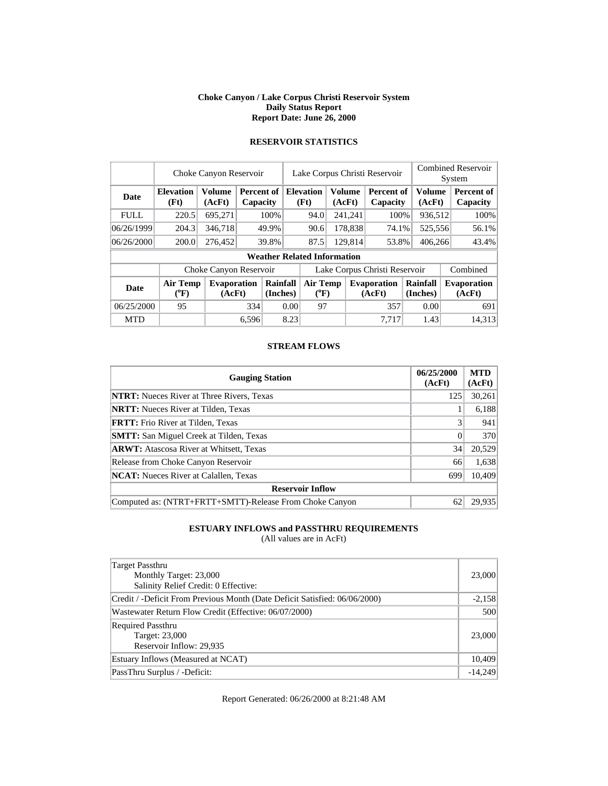#### **Choke Canyon / Lake Corpus Christi Reservoir System Daily Status Report Report Date: June 26, 2000**

|             | Choke Canyon Reservoir       |                              | Lake Corpus Christi Reservoir |                                   |                               |                                    | <b>Combined Reservoir</b><br>System |                  |                              |                      |  |                              |
|-------------|------------------------------|------------------------------|-------------------------------|-----------------------------------|-------------------------------|------------------------------------|-------------------------------------|------------------|------------------------------|----------------------|--|------------------------------|
| Date        | <b>Elevation</b><br>(Ft)     | <b>Volume</b><br>(AcFt)      |                               | Percent of<br>Capacity            |                               | <b>Elevation</b><br>(Ft)           |                                     | Volume<br>(AcFt) | Percent of<br>Capacity       | Volume<br>(AcFt)     |  | Percent of<br>Capacity       |
| <b>FULL</b> | 220.5                        | 695,271                      |                               | 100%                              |                               | 94.0                               |                                     | 241,241          | 100%                         | 936,512              |  | 100%                         |
| 06/26/1999  | 204.3                        | 346,718                      |                               | 178,838<br>49.9%<br>90.6<br>74.1% |                               | 525,556                            |                                     | 56.1%            |                              |                      |  |                              |
| 06/26/2000  | 200.0                        | 276,452                      |                               | 39.8%                             |                               | 87.5                               |                                     | 129,814          | 53.8%                        | 406,266              |  | 43.4%                        |
|             |                              |                              |                               |                                   |                               | <b>Weather Related Information</b> |                                     |                  |                              |                      |  |                              |
|             |                              | Choke Canyon Reservoir       |                               |                                   | Lake Corpus Christi Reservoir |                                    |                                     |                  |                              |                      |  | Combined                     |
| <b>Date</b> | <b>Air Temp</b><br>$(^{0}F)$ | <b>Evaporation</b><br>(AcFt) |                               | Rainfall<br>(Inches)              |                               | Air Temp<br>$(^{0}F)$              |                                     |                  | <b>Evaporation</b><br>(AcFt) | Rainfall<br>(Inches) |  | <b>Evaporation</b><br>(AcFt) |
| 06/25/2000  | 95                           |                              |                               | 334                               |                               | 0.00<br>97                         |                                     |                  | 357                          | 0.00                 |  | 691                          |
| <b>MTD</b>  |                              |                              | 6,596                         |                                   | 8.23                          |                                    |                                     |                  | 7.717                        | 1.43                 |  | 14,313                       |

## **RESERVOIR STATISTICS**

#### **STREAM FLOWS**

| <b>Gauging Station</b>                                  | 06/25/2000<br>(AcFt) | <b>MTD</b><br>(AcFt) |
|---------------------------------------------------------|----------------------|----------------------|
| <b>NTRT:</b> Nueces River at Three Rivers, Texas        | 125                  | 30,261               |
| <b>NRTT:</b> Nueces River at Tilden, Texas              |                      | 6,188                |
| <b>FRTT:</b> Frio River at Tilden, Texas                |                      | 941                  |
| <b>SMTT:</b> San Miguel Creek at Tilden, Texas          | $\Omega$             | 370                  |
| <b>ARWT:</b> Atascosa River at Whitsett, Texas          | 34                   | 20,529               |
| Release from Choke Canyon Reservoir                     | 66                   | 1,638                |
| <b>NCAT:</b> Nueces River at Calallen, Texas            | 699                  | 10,409               |
| <b>Reservoir Inflow</b>                                 |                      |                      |
| Computed as: (NTRT+FRTT+SMTT)-Release From Choke Canyon | 62                   | 29.935               |

## **ESTUARY INFLOWS and PASSTHRU REQUIREMENTS**

(All values are in AcFt)

| Target Passthru<br>Monthly Target: 23,000<br>Salinity Relief Credit: 0 Effective: | 23,000    |
|-----------------------------------------------------------------------------------|-----------|
| Credit / -Deficit From Previous Month (Date Deficit Satisfied: 06/06/2000)        | $-2,158$  |
| Wastewater Return Flow Credit (Effective: 06/07/2000)                             | 500       |
| <b>Required Passthru</b><br>Target: 23,000<br>Reservoir Inflow: 29,935            | 23,000    |
| Estuary Inflows (Measured at NCAT)                                                | 10,409    |
| PassThru Surplus / -Deficit:                                                      | $-14,249$ |

Report Generated: 06/26/2000 at 8:21:48 AM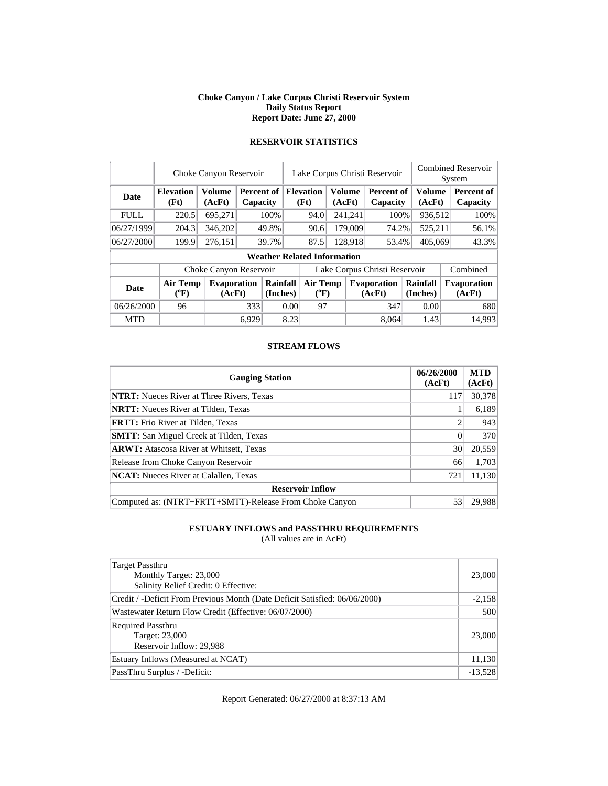#### **Choke Canyon / Lake Corpus Christi Reservoir System Daily Status Report Report Date: June 27, 2000**

|             | Choke Canyon Reservoir       | Lake Corpus Christi Reservoir |                        |                      |                               |                                    |                  | <b>Combined Reservoir</b><br>System |                              |                      |                  |                              |
|-------------|------------------------------|-------------------------------|------------------------|----------------------|-------------------------------|------------------------------------|------------------|-------------------------------------|------------------------------|----------------------|------------------|------------------------------|
| Date        | <b>Elevation</b><br>(Ft)     | <b>Volume</b><br>(AcFt)       | Percent of<br>Capacity |                      |                               | <b>Elevation</b><br>(Ft)           | Volume<br>(AcFt) |                                     | Percent of<br>Capacity       |                      | Volume<br>(AcFt) | Percent of<br>Capacity       |
| <b>FULL</b> | 220.5                        | 695,271                       |                        | 100%                 |                               | 94.0                               |                  | 241,241                             | 100%                         |                      | 936,512          | 100%                         |
| 06/27/1999  | 204.3                        | 346,202                       |                        | 49.8%                | 179,009<br>90.6<br>74.2%      |                                    |                  | 525,211                             | 56.1%                        |                      |                  |                              |
| 06/27/2000  | 199.9                        | 276,151                       |                        | 39.7%                |                               | 128,918<br>87.5<br>53.4%           |                  | 405,069                             |                              | 43.3%                |                  |                              |
|             |                              |                               |                        |                      |                               | <b>Weather Related Information</b> |                  |                                     |                              |                      |                  |                              |
|             |                              | Choke Canyon Reservoir        |                        |                      | Lake Corpus Christi Reservoir |                                    |                  |                                     |                              |                      |                  | Combined                     |
| <b>Date</b> | <b>Air Temp</b><br>$(^{0}F)$ | <b>Evaporation</b><br>(AcFt)  |                        | Rainfall<br>(Inches) |                               | Air Temp<br>$(^{0}F)$              |                  |                                     | <b>Evaporation</b><br>(AcFt) | Rainfall<br>(Inches) |                  | <b>Evaporation</b><br>(AcFt) |
| 06/26/2000  | 96                           |                               |                        | 333<br>0.00          |                               | 97                                 |                  |                                     | 347                          | 0.00                 |                  | 680                          |
| <b>MTD</b>  |                              |                               | 6,929                  |                      | 8.23                          |                                    |                  |                                     | 8.064                        |                      | 1.43             | 14.993                       |

## **RESERVOIR STATISTICS**

#### **STREAM FLOWS**

| <b>Gauging Station</b>                                  | 06/26/2000<br>(AcFt) | <b>MTD</b><br>(AcFt) |
|---------------------------------------------------------|----------------------|----------------------|
| <b>NTRT:</b> Nueces River at Three Rivers, Texas        | 117                  | 30,378               |
| <b>NRTT:</b> Nueces River at Tilden, Texas              |                      | 6,189                |
| <b>FRTT:</b> Frio River at Tilden, Texas                |                      | 943                  |
| <b>SMTT:</b> San Miguel Creek at Tilden, Texas          | $\Omega$             | 370                  |
| <b>ARWT:</b> Atascosa River at Whitsett, Texas          | 30                   | 20,559               |
| Release from Choke Canyon Reservoir                     | 66                   | 1,703                |
| <b>NCAT:</b> Nueces River at Calallen, Texas            | 721                  | 11,130               |
| <b>Reservoir Inflow</b>                                 |                      |                      |
| Computed as: (NTRT+FRTT+SMTT)-Release From Choke Canyon | 53                   | 29.988               |

## **ESTUARY INFLOWS and PASSTHRU REQUIREMENTS**

(All values are in AcFt)

| Target Passthru<br>Monthly Target: 23,000<br>Salinity Relief Credit: 0 Effective: | 23,000    |
|-----------------------------------------------------------------------------------|-----------|
| Credit / -Deficit From Previous Month (Date Deficit Satisfied: 06/06/2000)        | $-2,158$  |
| Wastewater Return Flow Credit (Effective: 06/07/2000)                             | 500       |
| <b>Required Passthru</b><br>Target: 23,000<br>Reservoir Inflow: 29,988            | 23,000    |
| Estuary Inflows (Measured at NCAT)                                                | 11,130    |
| PassThru Surplus / -Deficit:                                                      | $-13,528$ |

Report Generated: 06/27/2000 at 8:37:13 AM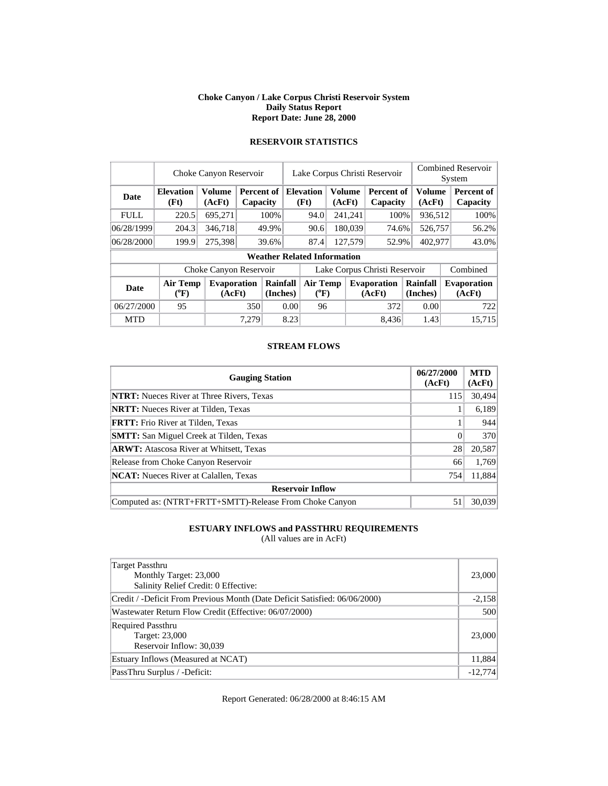#### **Choke Canyon / Lake Corpus Christi Reservoir System Daily Status Report Report Date: June 28, 2000**

|             | Choke Canyon Reservoir   | Lake Corpus Christi Reservoir |       |                        |                               |                                    |  | <b>Combined Reservoir</b> |                              |                          |          |                         |                              |  |                         |  |                        |
|-------------|--------------------------|-------------------------------|-------|------------------------|-------------------------------|------------------------------------|--|---------------------------|------------------------------|--------------------------|----------|-------------------------|------------------------------|--|-------------------------|--|------------------------|
|             |                          |                               |       |                        |                               |                                    |  |                           |                              |                          | System   |                         |                              |  |                         |  |                        |
| Date        | <b>Elevation</b><br>(Ft) | <b>Volume</b><br>(AcFt)       |       | Percent of<br>Capacity |                               |                                    |  |                           |                              | <b>Elevation</b><br>(Ft) |          | <b>Volume</b><br>(AcFt) | Percent of<br>Capacity       |  | <b>Volume</b><br>(AcFt) |  | Percent of<br>Capacity |
| <b>FULL</b> | 220.5                    | 695,271                       |       | 100%                   |                               | 94.0                               |  | 241,241                   | 100%                         |                          | 936,512  |                         | 100%                         |  |                         |  |                        |
| 06/28/1999  | 204.3                    | 346,718                       |       | 49.9%                  |                               |                                    |  | 90.6                      |                              | 180,039                  | 74.6%    |                         | 526,757                      |  | 56.2%                   |  |                        |
| 06/28/2000  | 199.9                    | 275,398                       |       | 39.6%                  |                               | 127,579<br>87.4                    |  |                           | 52.9%                        |                          | 402,977  |                         | 43.0%                        |  |                         |  |                        |
|             |                          |                               |       |                        |                               | <b>Weather Related Information</b> |  |                           |                              |                          |          |                         |                              |  |                         |  |                        |
|             |                          | Choke Canyon Reservoir        |       |                        | Lake Corpus Christi Reservoir |                                    |  |                           |                              |                          | Combined |                         |                              |  |                         |  |                        |
| <b>Date</b> | Air Temp<br>$(^{0}F)$    | <b>Evaporation</b><br>(AcFt)  |       | Rainfall<br>(Inches)   |                               | Air Temp<br>$(^{0}F)$              |  |                           | <b>Evaporation</b><br>(AcFt) | Rainfall<br>(Inches)     |          |                         | <b>Evaporation</b><br>(AcFt) |  |                         |  |                        |
| 06/27/2000  | 95                       |                               | 350   |                        | 0.00                          | 96                                 |  |                           | 372                          |                          | 0.00     |                         | 722                          |  |                         |  |                        |
| <b>MTD</b>  |                          |                               | 7,279 |                        | 8.23                          |                                    |  |                           | 8.436                        |                          | 1.43     |                         | 15.715                       |  |                         |  |                        |

## **RESERVOIR STATISTICS**

#### **STREAM FLOWS**

| <b>Gauging Station</b>                                  | 06/27/2000<br>(AcFt) | <b>MTD</b><br>(AcFt) |
|---------------------------------------------------------|----------------------|----------------------|
| <b>NTRT:</b> Nueces River at Three Rivers, Texas        | 115                  | 30,494               |
| <b>NRTT:</b> Nueces River at Tilden, Texas              |                      | 6,189                |
| <b>FRTT:</b> Frio River at Tilden, Texas                |                      | 944                  |
| <b>SMTT:</b> San Miguel Creek at Tilden, Texas          |                      | 370                  |
| <b>ARWT:</b> Atascosa River at Whitsett, Texas          | 28                   | 20,587               |
| Release from Choke Canyon Reservoir                     | 66                   | 1,769                |
| <b>NCAT:</b> Nueces River at Calallen, Texas            | 754                  | 11,884               |
| <b>Reservoir Inflow</b>                                 |                      |                      |
| Computed as: (NTRT+FRTT+SMTT)-Release From Choke Canyon | 51                   | 30,039               |

## **ESTUARY INFLOWS and PASSTHRU REQUIREMENTS**

(All values are in AcFt)

| Target Passthru<br>Monthly Target: 23,000<br>Salinity Relief Credit: 0 Effective: | 23,000    |
|-----------------------------------------------------------------------------------|-----------|
| Credit / -Deficit From Previous Month (Date Deficit Satisfied: 06/06/2000)        | $-2,158$  |
| Wastewater Return Flow Credit (Effective: 06/07/2000)                             | 500       |
| <b>Required Passthru</b><br>Target: 23,000<br>Reservoir Inflow: 30,039            | 23,000    |
| Estuary Inflows (Measured at NCAT)                                                | 11,884    |
| PassThru Surplus / -Deficit:                                                      | $-12.774$ |

Report Generated: 06/28/2000 at 8:46:15 AM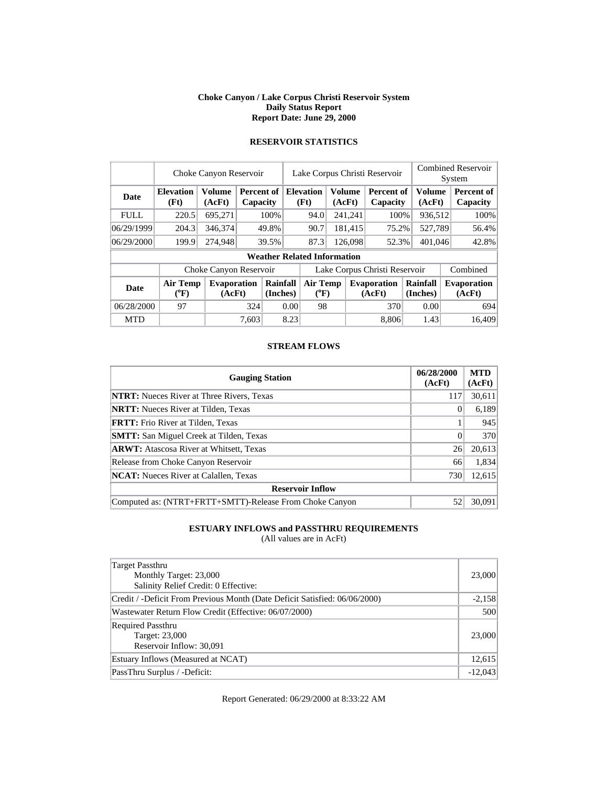#### **Choke Canyon / Lake Corpus Christi Reservoir System Daily Status Report Report Date: June 29, 2000**

|                        | Choke Canyon Reservoir             |                              |                        |                      | Lake Corpus Christi Reservoir |                              |        |               |                              |  | <b>Combined Reservoir</b><br>System |  |                               |
|------------------------|------------------------------------|------------------------------|------------------------|----------------------|-------------------------------|------------------------------|--------|---------------|------------------------------|--|-------------------------------------|--|-------------------------------|
| <b>Date</b>            | <b>Elevation</b><br>(Ft)           | <b>Volume</b><br>(AcFt)      | Percent of<br>Capacity |                      | <b>Elevation</b><br>(Ft)      |                              | (AcFt) | <b>Volume</b> | Percent of<br>Capacity       |  | Volume<br>(AcFt)                    |  | Percent of<br><b>Capacity</b> |
| <b>FULL</b>            | 220.5                              | 695,271                      | 100%                   |                      | 94.0                          |                              |        | 241,241       | 100%                         |  | 936,512                             |  | 100%                          |
| 06/29/1999             | 204.3                              | 346,374                      | 49.8%                  |                      |                               | 90.7                         |        | 181,415       | 75.2%                        |  | 527,789                             |  | 56.4%                         |
| 06/29/2000             | 199.9                              | 274,948                      | 39.5%                  |                      |                               |                              |        | 126,098       | 52.3%                        |  | 401,046                             |  | 42.8%                         |
|                        | <b>Weather Related Information</b> |                              |                        |                      |                               |                              |        |               |                              |  |                                     |  |                               |
| Choke Canyon Reservoir |                                    |                              |                        |                      | Lake Corpus Christi Reservoir |                              |        |               |                              |  |                                     |  | Combined                      |
| <b>Date</b>            | Air Temp<br>$(^{0}F)$              | <b>Evaporation</b><br>(AcFt) |                        | Rainfall<br>(Inches) |                               | <b>Air Temp</b><br>$(^{0}F)$ |        |               | <b>Evaporation</b><br>(AcFt) |  | Rainfall<br>(Inches)                |  | <b>Evaporation</b><br>(AcFt)  |
| 06/28/2000             | 97                                 |                              | 324                    |                      | 0.001                         | 98                           |        |               | 370                          |  | 0.00                                |  | 694                           |
| <b>MTD</b>             |                                    |                              | 7.603                  |                      | 8.23                          |                              |        |               | 8.806                        |  | 1.43                                |  | 16.409                        |

## **RESERVOIR STATISTICS**

#### **STREAM FLOWS**

| <b>Gauging Station</b>                                  | 06/28/2000<br>(AcFt) | <b>MTD</b><br>(AcFt) |  |  |  |  |
|---------------------------------------------------------|----------------------|----------------------|--|--|--|--|
| <b>NTRT:</b> Nueces River at Three Rivers, Texas        | 117                  | 30,611               |  |  |  |  |
| <b>NRTT:</b> Nueces River at Tilden, Texas              |                      | 6,189                |  |  |  |  |
| <b>FRTT:</b> Frio River at Tilden, Texas                |                      | 945                  |  |  |  |  |
| <b>SMTT:</b> San Miguel Creek at Tilden, Texas          | $\Omega$             | 370                  |  |  |  |  |
| <b>ARWT:</b> Atascosa River at Whitsett, Texas          | 26                   | 20,613               |  |  |  |  |
| Release from Choke Canyon Reservoir                     | 66                   | 1,834                |  |  |  |  |
| <b>NCAT:</b> Nueces River at Calallen, Texas            | 730                  | 12,615               |  |  |  |  |
| <b>Reservoir Inflow</b>                                 |                      |                      |  |  |  |  |
| Computed as: (NTRT+FRTT+SMTT)-Release From Choke Canyon | 52                   | 30.091               |  |  |  |  |

## **ESTUARY INFLOWS and PASSTHRU REQUIREMENTS**

(All values are in AcFt)

| Target Passthru<br>Monthly Target: 23,000<br>Salinity Relief Credit: 0 Effective: | 23,000    |
|-----------------------------------------------------------------------------------|-----------|
| Credit / -Deficit From Previous Month (Date Deficit Satisfied: 06/06/2000)        | $-2,158$  |
| Wastewater Return Flow Credit (Effective: 06/07/2000)                             | 500       |
| <b>Required Passthru</b><br>Target: 23,000<br>Reservoir Inflow: 30,091            | 23,000    |
| Estuary Inflows (Measured at NCAT)                                                | 12,615    |
| PassThru Surplus / -Deficit:                                                      | $-12,043$ |

Report Generated: 06/29/2000 at 8:33:22 AM